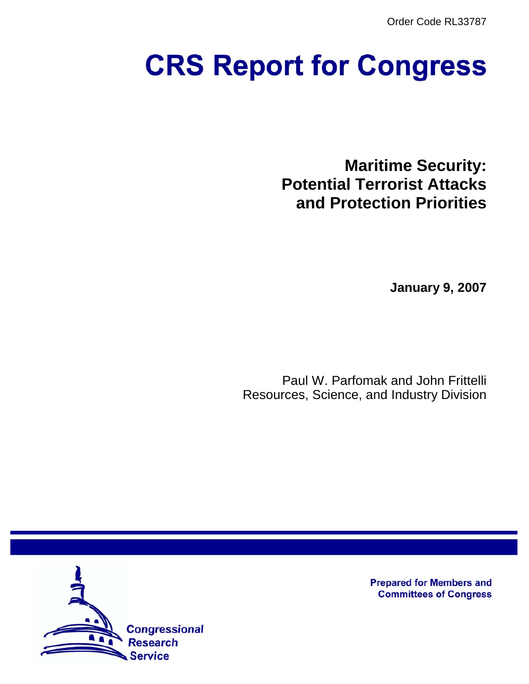Order Code RL33787

# **CRS Report for Congress**

**Maritime Security: Potential Terrorist Attacks and Protection Priorities**

**January 9, 2007**

Paul W. Parfomak and John Frittelli Resources, Science, and Industry Division



**Prepared for Members and Committees of Congress**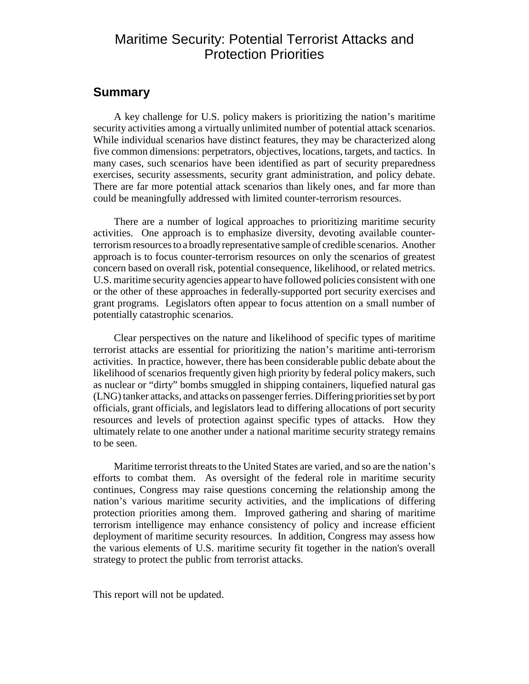# Maritime Security: Potential Terrorist Attacks and Protection Priorities

### **Summary**

A key challenge for U.S. policy makers is prioritizing the nation's maritime security activities among a virtually unlimited number of potential attack scenarios. While individual scenarios have distinct features, they may be characterized along five common dimensions: perpetrators, objectives, locations, targets, and tactics. In many cases, such scenarios have been identified as part of security preparedness exercises, security assessments, security grant administration, and policy debate. There are far more potential attack scenarios than likely ones, and far more than could be meaningfully addressed with limited counter-terrorism resources.

There are a number of logical approaches to prioritizing maritime security activities. One approach is to emphasize diversity, devoting available counterterrorism resources to a broadly representative sample of credible scenarios. Another approach is to focus counter-terrorism resources on only the scenarios of greatest concern based on overall risk, potential consequence, likelihood, or related metrics. U.S. maritime security agencies appear to have followed policies consistent with one or the other of these approaches in federally-supported port security exercises and grant programs. Legislators often appear to focus attention on a small number of potentially catastrophic scenarios.

Clear perspectives on the nature and likelihood of specific types of maritime terrorist attacks are essential for prioritizing the nation's maritime anti-terrorism activities. In practice, however, there has been considerable public debate about the likelihood of scenarios frequently given high priority by federal policy makers, such as nuclear or "dirty" bombs smuggled in shipping containers, liquefied natural gas (LNG) tanker attacks, and attacks on passenger ferries. Differing priorities set by port officials, grant officials, and legislators lead to differing allocations of port security resources and levels of protection against specific types of attacks. How they ultimately relate to one another under a national maritime security strategy remains to be seen.

Maritime terrorist threats to the United States are varied, and so are the nation's efforts to combat them. As oversight of the federal role in maritime security continues, Congress may raise questions concerning the relationship among the nation's various maritime security activities, and the implications of differing protection priorities among them. Improved gathering and sharing of maritime terrorism intelligence may enhance consistency of policy and increase efficient deployment of maritime security resources. In addition, Congress may assess how the various elements of U.S. maritime security fit together in the nation's overall strategy to protect the public from terrorist attacks.

This report will not be updated.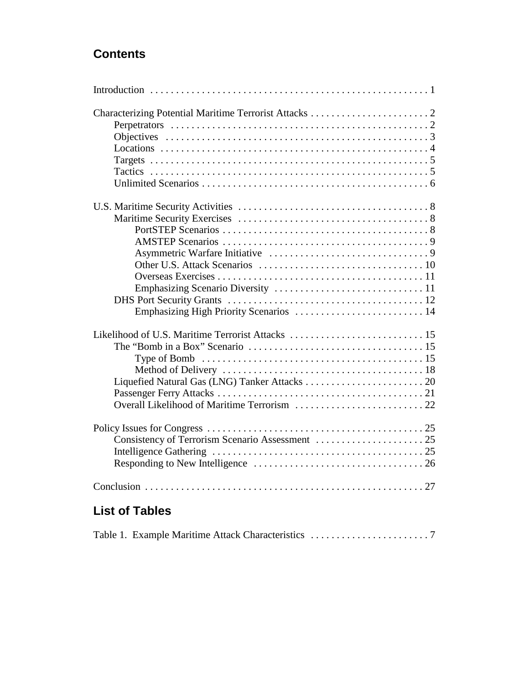# **Contents**

| Emphasizing High Priority Scenarios  14                                                                        |
|----------------------------------------------------------------------------------------------------------------|
|                                                                                                                |
| The "Bomb in a Box" Scenario $\ldots \ldots \ldots \ldots \ldots \ldots \ldots \ldots \ldots \ldots \ldots 15$ |
|                                                                                                                |
|                                                                                                                |
|                                                                                                                |
|                                                                                                                |
|                                                                                                                |
|                                                                                                                |
|                                                                                                                |
|                                                                                                                |
|                                                                                                                |
|                                                                                                                |
|                                                                                                                |
| <b>List of Tables</b>                                                                                          |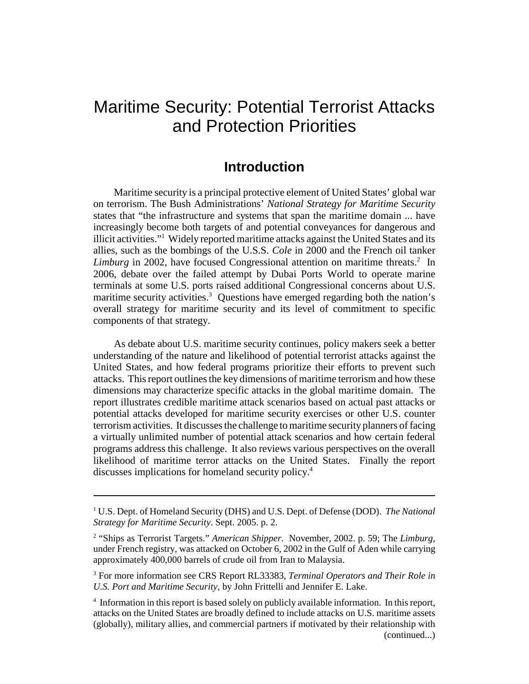# Maritime Security: Potential Terrorist Attacks and Protection Priorities

# **Introduction**

Maritime security is a principal protective element of United States' global war on terrorism. The Bush Administrations' *National Strategy for Maritime Security* states that "the infrastructure and systems that span the maritime domain ... have increasingly become both targets of and potential conveyances for dangerous and illicit activities."<sup>1</sup> Widely reported maritime attacks against the United States and its allies, such as the bombings of the U.S.S. *Cole* in 2000 and the French oil tanker Limburg in 2002, have focused Congressional attention on maritime threats.<sup>2</sup> In 2006, debate over the failed attempt by Dubai Ports World to operate marine terminals at some U.S. ports raised additional Congressional concerns about U.S. maritime security activities.<sup>3</sup> Questions have emerged regarding both the nation's overall strategy for maritime security and its level of commitment to specific components of that strategy.

As debate about U.S. maritime security continues, policy makers seek a better understanding of the nature and likelihood of potential terrorist attacks against the United States, and how federal programs prioritize their efforts to prevent such attacks. This report outlines the key dimensions of maritime terrorism and how these dimensions may characterize specific attacks in the global maritime domain. The report illustrates credible maritime attack scenarios based on actual past attacks or potential attacks developed for maritime security exercises or other U.S. counter terrorism activities. It discusses the challenge to maritime security planners of facing a virtually unlimited number of potential attack scenarios and how certain federal programs address this challenge. It also reviews various perspectives on the overall likelihood of maritime terror attacks on the United States. Finally the report discusses implications for homeland security policy.4

<sup>&</sup>lt;sup>1</sup> U.S. Dept. of Homeland Security (DHS) and U.S. Dept. of Defense (DOD). *The National Strategy for Maritime Security*. Sept. 2005. p. 2.

<sup>2</sup> "Ships as Terrorist Targets." *American Shipper.* November, 2002. p. 59; The *Limburg*, under French registry, was attacked on October 6, 2002 in the Gulf of Aden while carrying approximately 400,000 barrels of crude oil from Iran to Malaysia.

<sup>3</sup> For more information see CRS Report RL33383, *Terminal Operators and Their Role in U.S. Port and Maritime Security*, by John Frittelli and Jennifer E. Lake.

<sup>&</sup>lt;sup>4</sup> Information in this report is based solely on publicly available information. In this report, attacks on the United States are broadly defined to include attacks on U.S. maritime assets (globally), military allies, and commercial partners if motivated by their relationship with (continued...)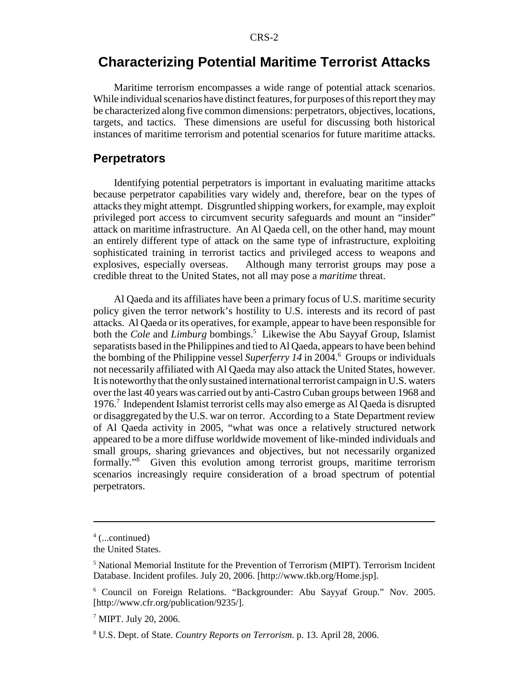# **Characterizing Potential Maritime Terrorist Attacks**

Maritime terrorism encompasses a wide range of potential attack scenarios. While individual scenarios have distinct features, for purposes of this report they may be characterized along five common dimensions: perpetrators, objectives, locations, targets, and tactics. These dimensions are useful for discussing both historical instances of maritime terrorism and potential scenarios for future maritime attacks.

#### **Perpetrators**

Identifying potential perpetrators is important in evaluating maritime attacks because perpetrator capabilities vary widely and, therefore, bear on the types of attacks they might attempt. Disgruntled shipping workers, for example, may exploit privileged port access to circumvent security safeguards and mount an "insider" attack on maritime infrastructure. An Al Qaeda cell, on the other hand, may mount an entirely different type of attack on the same type of infrastructure, exploiting sophisticated training in terrorist tactics and privileged access to weapons and explosives, especially overseas. Although many terrorist groups may pose a credible threat to the United States, not all may pose a *maritime* threat.

Al Qaeda and its affiliates have been a primary focus of U.S. maritime security policy given the terror network's hostility to U.S. interests and its record of past attacks. Al Qaeda or its operatives, for example, appear to have been responsible for both the *Cole* and *Limburg* bombings.<sup>5</sup> Likewise the Abu Sayyaf Group, Islamist separatists based in the Philippines and tied to Al Qaeda, appears to have been behind the bombing of the Philippine vessel Superferry 14 in 2004.<sup>6</sup> Groups or individuals not necessarily affiliated with Al Qaeda may also attack the United States, however. It is noteworthy that the only sustained international terrorist campaign in U.S. waters over the last 40 years was carried out by anti-Castro Cuban groups between 1968 and 1976.<sup>7</sup> Independent Islamist terrorist cells may also emerge as Al Qaeda is disrupted or disaggregated by the U.S. war on terror. According to a State Department review of Al Qaeda activity in 2005, "what was once a relatively structured network appeared to be a more diffuse worldwide movement of like-minded individuals and small groups, sharing grievances and objectives, but not necessarily organized formally."<sup>8</sup> Given this evolution among terrorist groups, maritime terrorism scenarios increasingly require consideration of a broad spectrum of potential perpetrators.

<sup>4</sup> (...continued)

the United States.

<sup>&</sup>lt;sup>5</sup> National Memorial Institute for the Prevention of Terrorism (MIPT). Terrorism Incident Database. Incident profiles. July 20, 2006. [http://www.tkb.org/Home.jsp].

<sup>6</sup> Council on Foreign Relations. "Backgrounder: Abu Sayyaf Group." Nov. 2005. [http://www.cfr.org/publication/9235/].

<sup>7</sup> MIPT. July 20, 2006.

<sup>8</sup> U.S. Dept. of State. *Country Reports on Terrorism*. p. 13. April 28, 2006.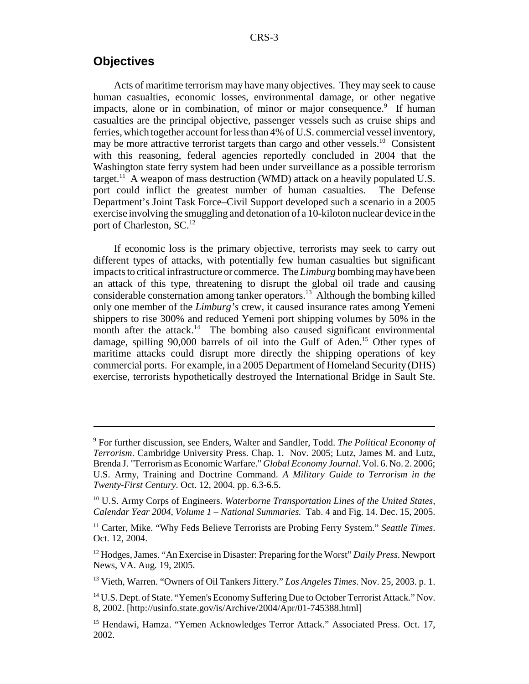#### **Objectives**

Acts of maritime terrorism may have many objectives. They may seek to cause human casualties, economic losses, environmental damage, or other negative impacts, alone or in combination, of minor or major consequence.<sup>9</sup> If human casualties are the principal objective, passenger vessels such as cruise ships and ferries, which together account for less than 4% of U.S. commercial vessel inventory, may be more attractive terrorist targets than cargo and other vessels.<sup>10</sup> Consistent with this reasoning, federal agencies reportedly concluded in 2004 that the Washington state ferry system had been under surveillance as a possible terrorism target.<sup>11</sup> A weapon of mass destruction (WMD) attack on a heavily populated U.S. port could inflict the greatest number of human casualties. The Defense Department's Joint Task Force–Civil Support developed such a scenario in a 2005 exercise involving the smuggling and detonation of a 10-kiloton nuclear device in the port of Charleston, SC.12

If economic loss is the primary objective, terrorists may seek to carry out different types of attacks, with potentially few human casualties but significant impacts to critical infrastructure or commerce. The *Limburg* bombing may have been an attack of this type, threatening to disrupt the global oil trade and causing considerable consternation among tanker operators.<sup>13</sup> Although the bombing killed only one member of the *Limburg's* crew, it caused insurance rates among Yemeni shippers to rise 300% and reduced Yemeni port shipping volumes by 50% in the month after the attack.<sup>14</sup> The bombing also caused significant environmental damage, spilling 90,000 barrels of oil into the Gulf of Aden.15 Other types of maritime attacks could disrupt more directly the shipping operations of key commercial ports. For example, in a 2005 Department of Homeland Security (DHS) exercise, terrorists hypothetically destroyed the International Bridge in Sault Ste.

<sup>9</sup> For further discussion, see Enders, Walter and Sandler, Todd. *The Political Economy of Terrorism*. Cambridge University Press. Chap. 1. Nov. 2005; Lutz, James M. and Lutz, Brenda J. "Terrorism as Economic Warfare." *Global Economy Journal*. Vol. 6. No. 2. 2006; U.S. Army, Training and Doctrine Command. *A Military Guide to Terrorism in the Twenty-First Century*. Oct. 12, 2004. pp. 6.3-6.5.

<sup>10</sup> U.S. Army Corps of Engineers. *Waterborne Transportation Lines of the United States, Calendar Year 2004, Volume 1 – National Summaries.* Tab. 4 and Fig. 14. Dec. 15, 2005.

<sup>&</sup>lt;sup>11</sup> Carter, Mike. "Why Feds Believe Terrorists are Probing Ferry System." Seattle Times. Oct. 12, 2004.

<sup>12</sup> Hodges, James. "An Exercise in Disaster: Preparing for the Worst" *Daily Press.* Newport News, VA. Aug. 19, 2005.

<sup>13</sup> Vieth, Warren. "Owners of Oil Tankers Jittery." *Los Angeles Times*. Nov. 25, 2003. p. 1.

<sup>&</sup>lt;sup>14</sup> U.S. Dept. of State. "Yemen's Economy Suffering Due to October Terrorist Attack." Nov. 8, 2002. [http://usinfo.state.gov/is/Archive/2004/Apr/01-745388.html]

<sup>&</sup>lt;sup>15</sup> Hendawi, Hamza. "Yemen Acknowledges Terror Attack." Associated Press. Oct. 17, 2002.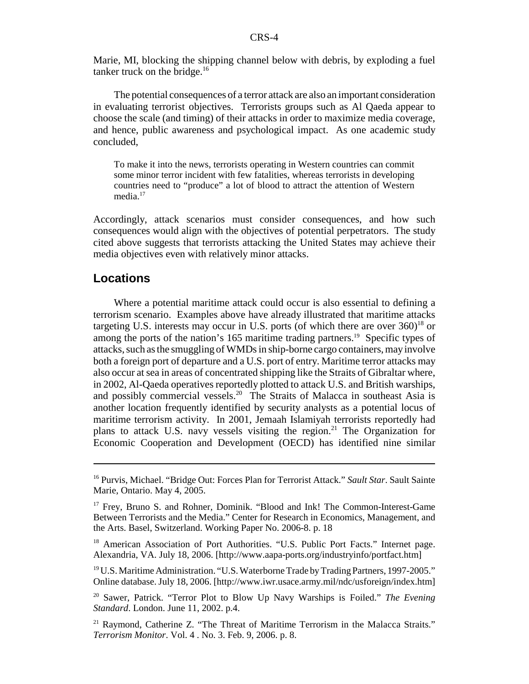Marie, MI, blocking the shipping channel below with debris, by exploding a fuel tanker truck on the bridge.<sup>16</sup>

The potential consequences of a terror attack are also an important consideration in evaluating terrorist objectives. Terrorists groups such as Al Qaeda appear to choose the scale (and timing) of their attacks in order to maximize media coverage, and hence, public awareness and psychological impact. As one academic study concluded,

To make it into the news, terrorists operating in Western countries can commit some minor terror incident with few fatalities, whereas terrorists in developing countries need to "produce" a lot of blood to attract the attention of Western media.<sup>17</sup>

Accordingly, attack scenarios must consider consequences, and how such consequences would align with the objectives of potential perpetrators. The study cited above suggests that terrorists attacking the United States may achieve their media objectives even with relatively minor attacks.

#### **Locations**

Where a potential maritime attack could occur is also essential to defining a terrorism scenario. Examples above have already illustrated that maritime attacks targeting U.S. interests may occur in U.S. ports (of which there are over  $360$ )<sup>18</sup> or among the ports of the nation's  $165$  maritime trading partners.<sup>19</sup> Specific types of attacks, such as the smuggling of WMDs in ship-borne cargo containers, may involve both a foreign port of departure and a U.S. port of entry. Maritime terror attacks may also occur at sea in areas of concentrated shipping like the Straits of Gibraltar where, in 2002, Al-Qaeda operatives reportedly plotted to attack U.S. and British warships, and possibly commercial vessels.20 The Straits of Malacca in southeast Asia is another location frequently identified by security analysts as a potential locus of maritime terrorism activity. In 2001, Jemaah Islamiyah terrorists reportedly had plans to attack U.S. navy vessels visiting the region.<sup>21</sup> The Organization for Economic Cooperation and Development (OECD) has identified nine similar

<sup>16</sup> Purvis, Michael. "Bridge Out: Forces Plan for Terrorist Attack." *Sault Star*. Sault Sainte Marie, Ontario. May 4, 2005.

<sup>&</sup>lt;sup>17</sup> Frey, Bruno S. and Rohner, Dominik. "Blood and Ink! The Common-Interest-Game Between Terrorists and the Media." Center for Research in Economics, Management, and the Arts. Basel, Switzerland. Working Paper No. 2006-8. p. 18

<sup>&</sup>lt;sup>18</sup> American Association of Port Authorities. "U.S. Public Port Facts." Internet page. Alexandria, VA. July 18, 2006. [http://www.aapa-ports.org/industryinfo/portfact.htm]

<sup>&</sup>lt;sup>19</sup> U.S. Maritime Administration. "U.S. Waterborne Trade by Trading Partners, 1997-2005." Online database. July 18, 2006. [http://www.iwr.usace.army.mil/ndc/usforeign/index.htm]

<sup>20</sup> Sawer, Patrick. "Terror Plot to Blow Up Navy Warships is Foiled." *The Evening Standard*. London. June 11, 2002. p.4.

 $21$  Raymond, Catherine Z. "The Threat of Maritime Terrorism in the Malacca Straits." *Terrorism Monitor*. Vol. 4 . No. 3. Feb. 9, 2006. p. 8.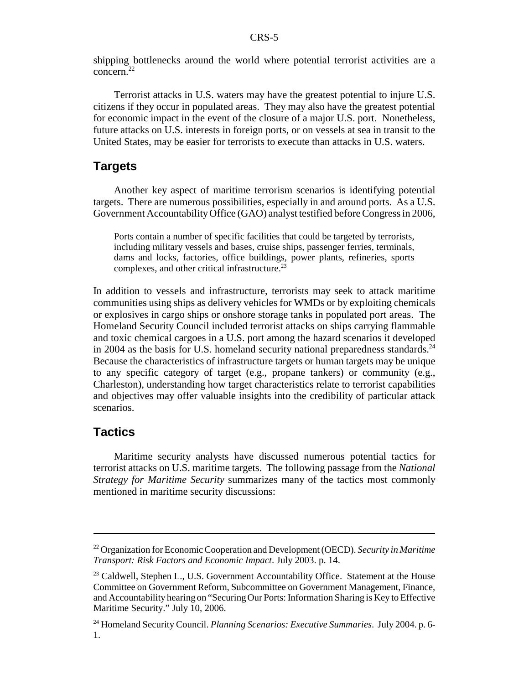shipping bottlenecks around the world where potential terrorist activities are a concern.22

Terrorist attacks in U.S. waters may have the greatest potential to injure U.S. citizens if they occur in populated areas. They may also have the greatest potential for economic impact in the event of the closure of a major U.S. port. Nonetheless, future attacks on U.S. interests in foreign ports, or on vessels at sea in transit to the United States, may be easier for terrorists to execute than attacks in U.S. waters.

#### **Targets**

Another key aspect of maritime terrorism scenarios is identifying potential targets. There are numerous possibilities, especially in and around ports. As a U.S. Government Accountability Office (GAO) analyst testified before Congress in 2006,

Ports contain a number of specific facilities that could be targeted by terrorists, including military vessels and bases, cruise ships, passenger ferries, terminals, dams and locks, factories, office buildings, power plants, refineries, sports complexes, and other critical infrastructure.<sup>23</sup>

In addition to vessels and infrastructure, terrorists may seek to attack maritime communities using ships as delivery vehicles for WMDs or by exploiting chemicals or explosives in cargo ships or onshore storage tanks in populated port areas. The Homeland Security Council included terrorist attacks on ships carrying flammable and toxic chemical cargoes in a U.S. port among the hazard scenarios it developed in 2004 as the basis for U.S. homeland security national preparedness standards.<sup>24</sup> Because the characteristics of infrastructure targets or human targets may be unique to any specific category of target (e.g., propane tankers) or community (e.g., Charleston), understanding how target characteristics relate to terrorist capabilities and objectives may offer valuable insights into the credibility of particular attack scenarios.

#### **Tactics**

Maritime security analysts have discussed numerous potential tactics for terrorist attacks on U.S. maritime targets. The following passage from the *National Strategy for Maritime Security* summarizes many of the tactics most commonly mentioned in maritime security discussions:

<sup>22</sup> Organization for Economic Cooperation and Development (OECD). *Security in Maritime Transport: Risk Factors and Economic Impact*. July 2003. p. 14.

 $^{23}$  Caldwell, Stephen L., U.S. Government Accountability Office. Statement at the House Committee on Government Reform, Subcommittee on Government Management, Finance, and Accountability hearing on "Securing Our Ports: Information Sharing is Key to Effective Maritime Security." July 10, 2006.

<sup>24</sup> Homeland Security Council. *Planning Scenarios: Executive Summaries*. July 2004. p. 6- 1.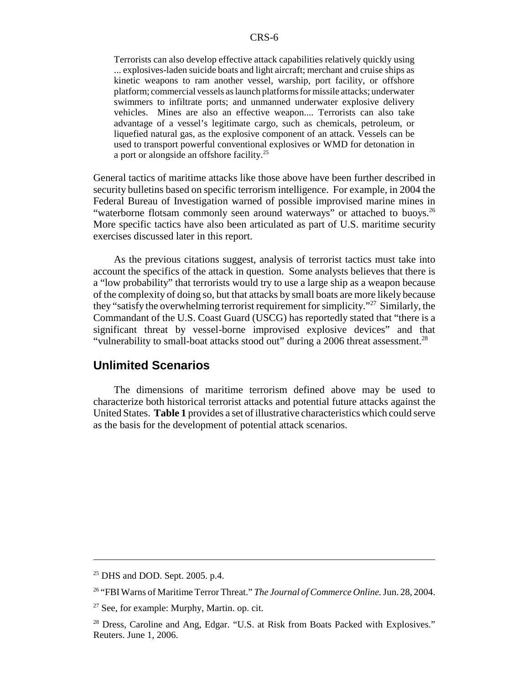Terrorists can also develop effective attack capabilities relatively quickly using ... explosives-laden suicide boats and light aircraft; merchant and cruise ships as kinetic weapons to ram another vessel, warship, port facility, or offshore platform; commercial vessels as launch platforms for missile attacks; underwater swimmers to infiltrate ports; and unmanned underwater explosive delivery vehicles. Mines are also an effective weapon.... Terrorists can also take advantage of a vessel's legitimate cargo, such as chemicals, petroleum, or liquefied natural gas, as the explosive component of an attack. Vessels can be used to transport powerful conventional explosives or WMD for detonation in a port or alongside an offshore facility.25

General tactics of maritime attacks like those above have been further described in security bulletins based on specific terrorism intelligence. For example, in 2004 the Federal Bureau of Investigation warned of possible improvised marine mines in "waterborne flotsam commonly seen around waterways" or attached to buoys.<sup>26</sup> More specific tactics have also been articulated as part of U.S. maritime security exercises discussed later in this report.

As the previous citations suggest, analysis of terrorist tactics must take into account the specifics of the attack in question. Some analysts believes that there is a "low probability" that terrorists would try to use a large ship as a weapon because of the complexity of doing so, but that attacks by small boats are more likely because they "satisfy the overwhelming terrorist requirement for simplicity."<sup>27</sup> Similarly, the Commandant of the U.S. Coast Guard (USCG) has reportedly stated that "there is a significant threat by vessel-borne improvised explosive devices" and that "vulnerability to small-boat attacks stood out" during a 2006 threat assessment.<sup>28</sup>

#### **Unlimited Scenarios**

The dimensions of maritime terrorism defined above may be used to characterize both historical terrorist attacks and potential future attacks against the United States. **Table 1** provides a set of illustrative characteristics which could serve as the basis for the development of potential attack scenarios.

 $25$  DHS and DOD. Sept. 2005. p.4.

<sup>26 &</sup>quot;FBI Warns of Maritime Terror Threat." *The Journal of Commerce Online.* Jun. 28, 2004.

 $27$  See, for example: Murphy, Martin. op. cit.

<sup>&</sup>lt;sup>28</sup> Dress, Caroline and Ang, Edgar. "U.S. at Risk from Boats Packed with Explosives." Reuters. June 1, 2006.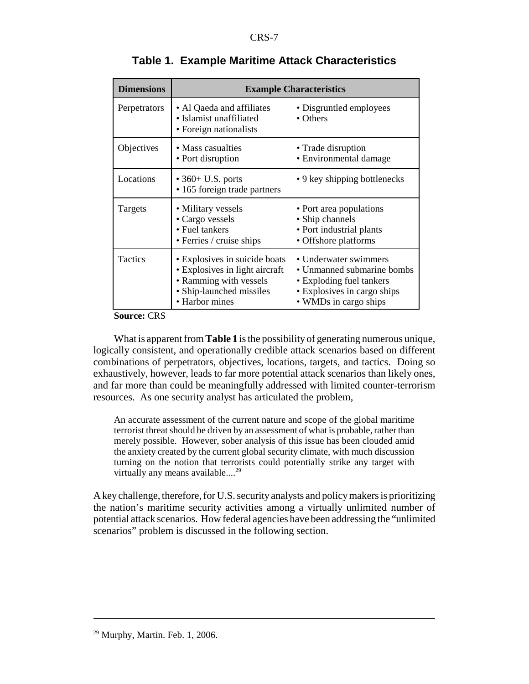| <b>Dimensions</b> | <b>Example Characteristics</b>                                                                                                          |                                                                                                                                         |  |
|-------------------|-----------------------------------------------------------------------------------------------------------------------------------------|-----------------------------------------------------------------------------------------------------------------------------------------|--|
| Perpetrators      | • Al Qaeda and affiliates<br>• Islamist unaffiliated<br>• Foreign nationalists                                                          | • Disgruntled employees<br>$\bullet$ Others                                                                                             |  |
| Objectives        | • Mass casualties<br>• Port disruption                                                                                                  | • Trade disruption<br>• Environmental damage                                                                                            |  |
| Locations         | $\cdot$ 360+ U.S. ports<br>• 165 foreign trade partners                                                                                 | • 9 key shipping bottlenecks                                                                                                            |  |
| Targets           | • Military vessels<br>• Cargo vessels<br>• Fuel tankers<br>• Ferries / cruise ships                                                     | • Port area populations<br>• Ship channels<br>• Port industrial plants<br>• Offshore platforms                                          |  |
| Tactics           | • Explosives in suicide boats<br>• Explosives in light aircraft<br>• Ramming with vessels<br>• Ship-launched missiles<br>• Harbor mines | • Underwater swimmers<br>• Unmanned submarine bombs<br>• Exploding fuel tankers<br>• Explosives in cargo ships<br>• WMDs in cargo ships |  |

#### **Table 1. Example Maritime Attack Characteristics**

**Source:** CRS

What is apparent from **Table 1** is the possibility of generating numerous unique, logically consistent, and operationally credible attack scenarios based on different combinations of perpetrators, objectives, locations, targets, and tactics. Doing so exhaustively, however, leads to far more potential attack scenarios than likely ones, and far more than could be meaningfully addressed with limited counter-terrorism resources. As one security analyst has articulated the problem,

An accurate assessment of the current nature and scope of the global maritime terrorist threat should be driven by an assessment of what is probable, rather than merely possible. However, sober analysis of this issue has been clouded amid the anxiety created by the current global security climate, with much discussion turning on the notion that terrorists could potentially strike any target with virtually any means available....<sup>29</sup>

A key challenge, therefore, for U.S. security analysts and policy makers is prioritizing the nation's maritime security activities among a virtually unlimited number of potential attack scenarios. How federal agencies have been addressing the "unlimited scenarios" problem is discussed in the following section.

 $29$  Murphy, Martin. Feb. 1, 2006.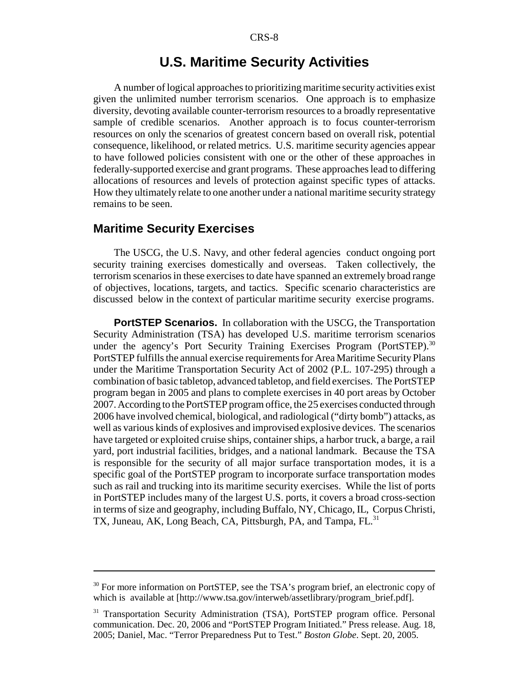# **U.S. Maritime Security Activities**

A number of logical approaches to prioritizing maritime security activities exist given the unlimited number terrorism scenarios. One approach is to emphasize diversity, devoting available counter-terrorism resources to a broadly representative sample of credible scenarios. Another approach is to focus counter-terrorism resources on only the scenarios of greatest concern based on overall risk, potential consequence, likelihood, or related metrics. U.S. maritime security agencies appear to have followed policies consistent with one or the other of these approaches in federally-supported exercise and grant programs. These approaches lead to differing allocations of resources and levels of protection against specific types of attacks. How they ultimately relate to one another under a national maritime security strategy remains to be seen.

#### **Maritime Security Exercises**

The USCG, the U.S. Navy, and other federal agencies conduct ongoing port security training exercises domestically and overseas. Taken collectively, the terrorism scenarios in these exercises to date have spanned an extremely broad range of objectives, locations, targets, and tactics. Specific scenario characteristics are discussed below in the context of particular maritime security exercise programs.

**PortSTEP Scenarios.** In collaboration with the USCG, the Transportation Security Administration (TSA) has developed U.S. maritime terrorism scenarios under the agency's Port Security Training Exercises Program (PortSTEP).<sup>30</sup> PortSTEP fulfills the annual exercise requirements for Area Maritime Security Plans under the Maritime Transportation Security Act of 2002 (P.L. 107-295) through a combination of basic tabletop, advanced tabletop, and field exercises. The PortSTEP program began in 2005 and plans to complete exercises in 40 port areas by October 2007. According to the PortSTEP program office, the 25 exercises conducted through 2006 have involved chemical, biological, and radiological ("dirty bomb") attacks, as well as various kinds of explosives and improvised explosive devices. The scenarios have targeted or exploited cruise ships, container ships, a harbor truck, a barge, a rail yard, port industrial facilities, bridges, and a national landmark. Because the TSA is responsible for the security of all major surface transportation modes, it is a specific goal of the PortSTEP program to incorporate surface transportation modes such as rail and trucking into its maritime security exercises. While the list of ports in PortSTEP includes many of the largest U.S. ports, it covers a broad cross-section in terms of size and geography, including Buffalo, NY, Chicago, IL, Corpus Christi, TX, Juneau, AK, Long Beach, CA, Pittsburgh, PA, and Tampa, FL.<sup>31</sup>

<sup>&</sup>lt;sup>30</sup> For more information on PortSTEP, see the TSA's program brief, an electronic copy of which is available at [http://www.tsa.gov/interweb/assetlibrary/program\_brief.pdf].

<sup>31</sup> Transportation Security Administration (TSA), PortSTEP program office. Personal communication. Dec. 20, 2006 and "PortSTEP Program Initiated." Press release. Aug. 18, 2005; Daniel, Mac. "Terror Preparedness Put to Test." *Boston Globe*. Sept. 20, 2005.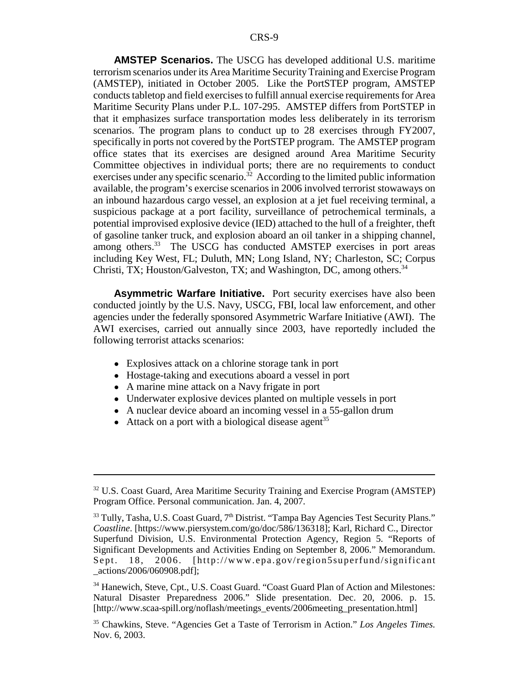**AMSTEP Scenarios.** The USCG has developed additional U.S. maritime terrorism scenarios under its Area Maritime Security Training and Exercise Program (AMSTEP), initiated in October 2005. Like the PortSTEP program, AMSTEP conducts tabletop and field exercises to fulfill annual exercise requirements for Area Maritime Security Plans under P.L. 107-295. AMSTEP differs from PortSTEP in that it emphasizes surface transportation modes less deliberately in its terrorism scenarios. The program plans to conduct up to 28 exercises through FY2007, specifically in ports not covered by the PortSTEP program. The AMSTEP program office states that its exercises are designed around Area Maritime Security Committee objectives in individual ports; there are no requirements to conduct exercises under any specific scenario.<sup>32</sup> According to the limited public information available, the program's exercise scenarios in 2006 involved terrorist stowaways on an inbound hazardous cargo vessel, an explosion at a jet fuel receiving terminal, a suspicious package at a port facility, surveillance of petrochemical terminals, a potential improvised explosive device (IED) attached to the hull of a freighter, theft of gasoline tanker truck, and explosion aboard an oil tanker in a shipping channel, among others.<sup>33</sup> The USCG has conducted AMSTEP exercises in port areas including Key West, FL; Duluth, MN; Long Island, NY; Charleston, SC; Corpus Christi, TX; Houston/Galveston, TX; and Washington, DC, among others.  $34$ 

**Asymmetric Warfare Initiative.** Port security exercises have also been conducted jointly by the U.S. Navy, USCG, FBI, local law enforcement, and other agencies under the federally sponsored Asymmetric Warfare Initiative (AWI). The AWI exercises, carried out annually since 2003, have reportedly included the following terrorist attacks scenarios:

- Explosives attack on a chlorine storage tank in port
- ! Hostage-taking and executions aboard a vessel in port
- A marine mine attack on a Navy frigate in port
- Underwater explosive devices planted on multiple vessels in port
- A nuclear device aboard an incoming vessel in a 55-gallon drum
- Attack on a port with a biological disease agent<sup>35</sup>

<sup>&</sup>lt;sup>32</sup> U.S. Coast Guard, Area Maritime Security Training and Exercise Program (AMSTEP) Program Office. Personal communication. Jan. 4, 2007.

<sup>&</sup>lt;sup>33</sup> Tully, Tasha, U.S. Coast Guard, 7<sup>th</sup> Distrist. "Tampa Bay Agencies Test Security Plans." *Coastline*. [https://www.piersystem.com/go/doc/586/136318]; Karl, Richard C., Director Superfund Division, U.S. Environmental Protection Agency, Region 5. "Reports of Significant Developments and Activities Ending on September 8, 2006." Memorandum. Sept. 18, 2006. [http://www.epa.gov/region5superfund/significant \_actions/2006/060908.pdf];

<sup>&</sup>lt;sup>34</sup> Hanewich, Steve, Cpt., U.S. Coast Guard. "Coast Guard Plan of Action and Milestones: Natural Disaster Preparedness 2006." Slide presentation. Dec. 20, 2006. p. 15. [http://www.scaa-spill.org/noflash/meetings\_events/2006meeting\_presentation.html]

<sup>35</sup> Chawkins, Steve. "Agencies Get a Taste of Terrorism in Action." *Los Angeles Times.* Nov. 6, 2003.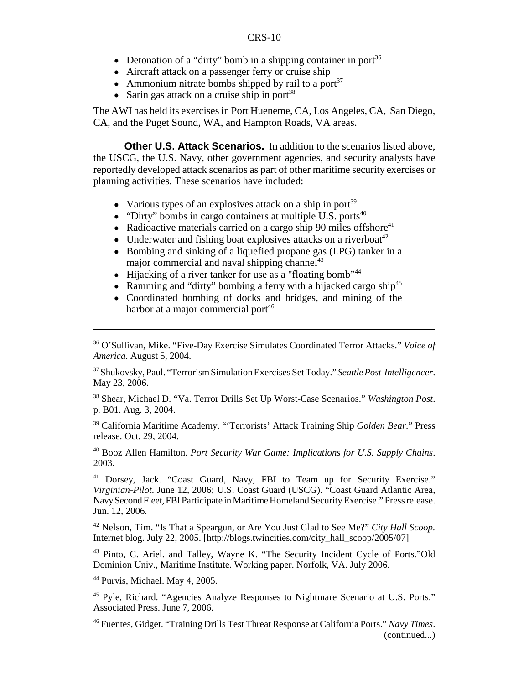- Detonation of a "dirty" bomb in a shipping container in port<sup>36</sup>
- Aircraft attack on a passenger ferry or cruise ship
- Ammonium nitrate bombs shipped by rail to a port<sup>37</sup>
- Sarin gas attack on a cruise ship in port<sup>38</sup>

The AWI has held its exercises in Port Hueneme, CA, Los Angeles, CA, San Diego, CA, and the Puget Sound, WA, and Hampton Roads, VA areas.

**Other U.S. Attack Scenarios.** In addition to the scenarios listed above, the USCG, the U.S. Navy, other government agencies, and security analysts have reportedly developed attack scenarios as part of other maritime security exercises or planning activities. These scenarios have included:

- Various types of an explosives attack on a ship in port<sup>39</sup>
- $\bullet$  "Dirty" bombs in cargo containers at multiple U.S. ports<sup>40</sup>
- Radioactive materials carried on a cargo ship 90 miles offshore<sup>41</sup>
- Underwater and fishing boat explosives attacks on a riverboat<sup>42</sup>
- Bombing and sinking of a liquefied propane gas (LPG) tanker in a major commercial and naval shipping channel<sup>43</sup>
- $\bullet$  Hijacking of a river tanker for use as a "floating bomb"<sup>44</sup>
- Ramming and "dirty" bombing a ferry with a hijacked cargo ship<sup>45</sup>
- Coordinated bombing of docks and bridges, and mining of the harbor at a major commercial port $46$

37 Shukovsky, Paul. "Terrorism Simulation Exercises Set Today." *Seattle Post-Intelligencer*. May 23, 2006.

38 Shear, Michael D. "Va. Terror Drills Set Up Worst-Case Scenarios." *Washington Post*. p. B01. Aug. 3, 2004.

39 California Maritime Academy. "'Terrorists' Attack Training Ship *Golden Bear*." Press release. Oct. 29, 2004.

40 Booz Allen Hamilton. *Port Security War Game: Implications for U.S. Supply Chains*. 2003.

<sup>41</sup> Dorsey, Jack. "Coast Guard, Navy, FBI to Team up for Security Exercise." *Virginian-Pilot*. June 12, 2006; U.S. Coast Guard (USCG). "Coast Guard Atlantic Area, Navy Second Fleet, FBI Participate in Maritime Homeland Security Exercise." Press release. Jun. 12, 2006.

42 Nelson, Tim. "Is That a Speargun, or Are You Just Glad to See Me?" *City Hall Scoop.* Internet blog. July 22, 2005. [http://blogs.twincities.com/city\_hall\_scoop/2005/07]

43 Pinto, C. Ariel. and Talley, Wayne K. "The Security Incident Cycle of Ports."Old Dominion Univ., Maritime Institute. Working paper. Norfolk, VA. July 2006.

44 Purvis, Michael. May 4, 2005.

45 Pyle, Richard. "Agencies Analyze Responses to Nightmare Scenario at U.S. Ports." Associated Press. June 7, 2006.

46 Fuentes, Gidget. "Training Drills Test Threat Response at California Ports." *Navy Times*. (continued...)

<sup>36</sup> O'Sullivan, Mike. "Five-Day Exercise Simulates Coordinated Terror Attacks." *Voice of America*. August 5, 2004.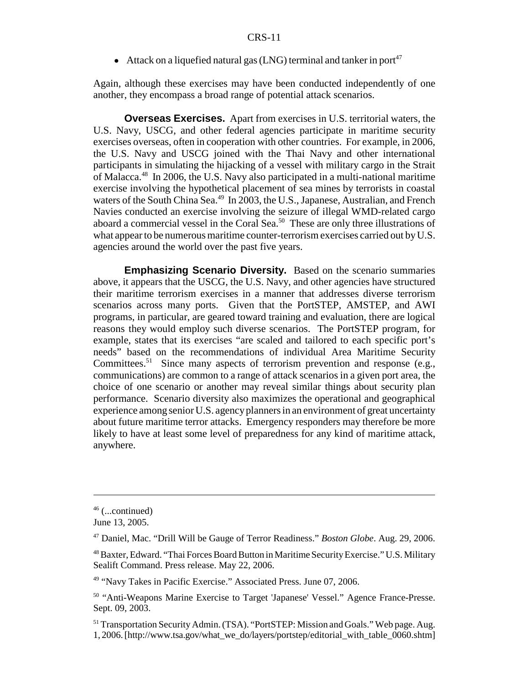$\bullet$  Attack on a liquefied natural gas (LNG) terminal and tanker in port<sup>47</sup>

Again, although these exercises may have been conducted independently of one another, they encompass a broad range of potential attack scenarios.

**Overseas Exercises.** Apart from exercises in U.S. territorial waters, the U.S. Navy, USCG, and other federal agencies participate in maritime security exercises overseas, often in cooperation with other countries. For example, in 2006, the U.S. Navy and USCG joined with the Thai Navy and other international participants in simulating the hijacking of a vessel with military cargo in the Strait of Malacca.48 In 2006, the U.S. Navy also participated in a multi-national maritime exercise involving the hypothetical placement of sea mines by terrorists in coastal waters of the South China Sea.<sup>49</sup> In 2003, the U.S., Japanese, Australian, and French Navies conducted an exercise involving the seizure of illegal WMD-related cargo aboard a commercial vessel in the Coral Sea.50 These are only three illustrations of what appear to be numerous maritime counter-terrorism exercises carried out by U.S. agencies around the world over the past five years.

**Emphasizing Scenario Diversity.** Based on the scenario summaries above, it appears that the USCG, the U.S. Navy, and other agencies have structured their maritime terrorism exercises in a manner that addresses diverse terrorism scenarios across many ports. Given that the PortSTEP, AMSTEP, and AWI programs, in particular, are geared toward training and evaluation, there are logical reasons they would employ such diverse scenarios. The PortSTEP program, for example, states that its exercises "are scaled and tailored to each specific port's needs" based on the recommendations of individual Area Maritime Security Committees.<sup>51</sup> Since many aspects of terrorism prevention and response (e.g., communications) are common to a range of attack scenarios in a given port area, the choice of one scenario or another may reveal similar things about security plan performance. Scenario diversity also maximizes the operational and geographical experience among senior U.S. agency planners in an environment of great uncertainty about future maritime terror attacks. Emergency responders may therefore be more likely to have at least some level of preparedness for any kind of maritime attack, anywhere.

49 "Navy Takes in Pacific Exercise." Associated Press. June 07, 2006.

 $46$  (...continued)

June 13, 2005.

<sup>47</sup> Daniel, Mac. "Drill Will be Gauge of Terror Readiness." *Boston Globe*. Aug. 29, 2006.

<sup>48</sup> Baxter, Edward. "Thai Forces Board Button in Maritime Security Exercise." U.S. Military Sealift Command. Press release. May 22, 2006.

<sup>50 &</sup>quot;Anti-Weapons Marine Exercise to Target 'Japanese' Vessel." Agence France-Presse. Sept. 09, 2003.

<sup>&</sup>lt;sup>51</sup> Transportation Security Admin. (TSA). "PortSTEP: Mission and Goals." Web page. Aug. 1, 2006. [http://www.tsa.gov/what\_we\_do/layers/portstep/editorial\_with\_table\_0060.shtm]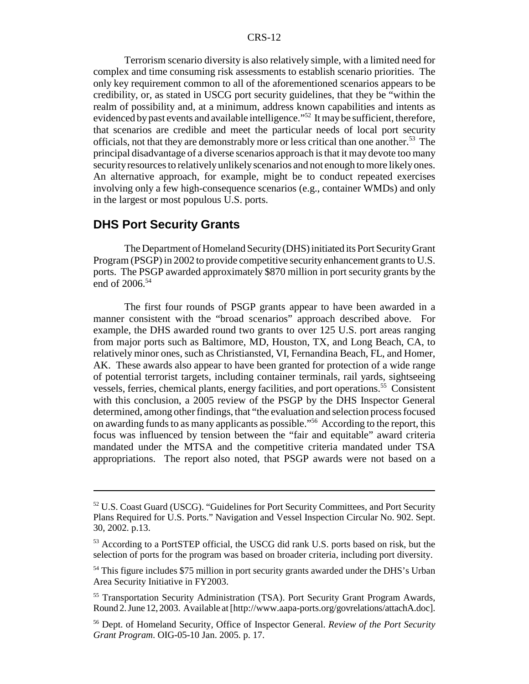Terrorism scenario diversity is also relatively simple, with a limited need for complex and time consuming risk assessments to establish scenario priorities. The only key requirement common to all of the aforementioned scenarios appears to be credibility, or, as stated in USCG port security guidelines, that they be "within the realm of possibility and, at a minimum, address known capabilities and intents as evidenced by past events and available intelligence."<sup>52</sup> It may be sufficient, therefore, that scenarios are credible and meet the particular needs of local port security officials, not that they are demonstrably more or less critical than one another.<sup>53</sup> The principal disadvantage of a diverse scenarios approach is that it may devote too many security resources to relatively unlikely scenarios and not enough to more likely ones. An alternative approach, for example, might be to conduct repeated exercises involving only a few high-consequence scenarios (e.g., container WMDs) and only in the largest or most populous U.S. ports.

#### **DHS Port Security Grants**

The Department of Homeland Security (DHS) initiated its Port Security Grant Program (PSGP) in 2002 to provide competitive security enhancement grants to U.S. ports. The PSGP awarded approximately \$870 million in port security grants by the end of 2006.<sup>54</sup>

The first four rounds of PSGP grants appear to have been awarded in a manner consistent with the "broad scenarios" approach described above. For example, the DHS awarded round two grants to over 125 U.S. port areas ranging from major ports such as Baltimore, MD, Houston, TX, and Long Beach, CA, to relatively minor ones, such as Christiansted, VI, Fernandina Beach, FL, and Homer, AK. These awards also appear to have been granted for protection of a wide range of potential terrorist targets, including container terminals, rail yards, sightseeing vessels, ferries, chemical plants, energy facilities, and port operations.<sup>55</sup> Consistent with this conclusion, a 2005 review of the PSGP by the DHS Inspector General determined, among other findings, that "the evaluation and selection process focused on awarding funds to as many applicants as possible."56 According to the report, this focus was influenced by tension between the "fair and equitable" award criteria mandated under the MTSA and the competitive criteria mandated under TSA appropriations. The report also noted, that PSGP awards were not based on a

<sup>&</sup>lt;sup>52</sup> U.S. Coast Guard (USCG). "Guidelines for Port Security Committees, and Port Security Plans Required for U.S. Ports." Navigation and Vessel Inspection Circular No. 902. Sept. 30, 2002. p.13.

<sup>53</sup> According to a PortSTEP official, the USCG did rank U.S. ports based on risk, but the selection of ports for the program was based on broader criteria, including port diversity.

<sup>&</sup>lt;sup>54</sup> This figure includes \$75 million in port security grants awarded under the DHS's Urban Area Security Initiative in FY2003.

<sup>55</sup> Transportation Security Administration (TSA). Port Security Grant Program Awards, Round 2. June 12, 2003. Available at [http://www.aapa-ports.org/govrelations/attachA.doc].

<sup>56</sup> Dept. of Homeland Security, Office of Inspector General. *Review of the Port Security Grant Program*. OIG-05-10 Jan. 2005. p. 17.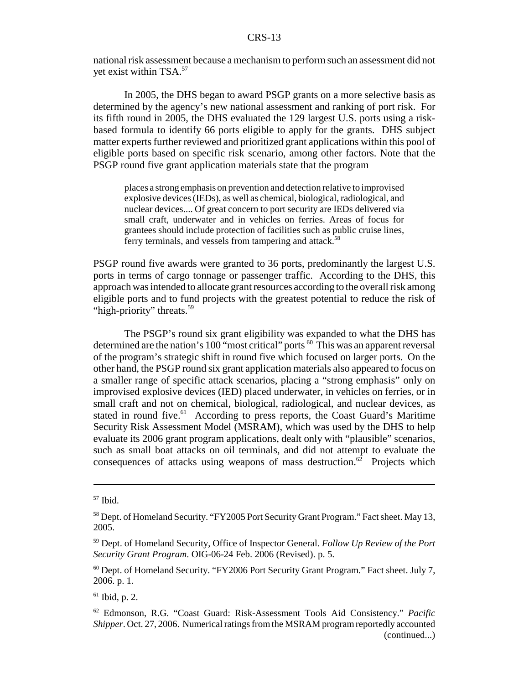national risk assessment because a mechanism to perform such an assessment did not yet exist within TSA.<sup>57</sup>

In 2005, the DHS began to award PSGP grants on a more selective basis as determined by the agency's new national assessment and ranking of port risk. For its fifth round in 2005, the DHS evaluated the 129 largest U.S. ports using a riskbased formula to identify 66 ports eligible to apply for the grants. DHS subject matter experts further reviewed and prioritized grant applications within this pool of eligible ports based on specific risk scenario, among other factors. Note that the PSGP round five grant application materials state that the program

places a strong emphasis on prevention and detection relative to improvised explosive devices (IEDs), as well as chemical, biological, radiological, and nuclear devices.... Of great concern to port security are IEDs delivered via small craft, underwater and in vehicles on ferries. Areas of focus for grantees should include protection of facilities such as public cruise lines, ferry terminals, and vessels from tampering and attack.<sup>58</sup>

PSGP round five awards were granted to 36 ports, predominantly the largest U.S. ports in terms of cargo tonnage or passenger traffic. According to the DHS, this approach was intended to allocate grant resources according to the overall risk among eligible ports and to fund projects with the greatest potential to reduce the risk of "high-priority" threats.<sup>59</sup>

The PSGP's round six grant eligibility was expanded to what the DHS has determined are the nation's 100 "most critical" ports  $^{60}$  This was an apparent reversal of the program's strategic shift in round five which focused on larger ports. On the other hand, the PSGP round six grant application materials also appeared to focus on a smaller range of specific attack scenarios, placing a "strong emphasis" only on improvised explosive devices (IED) placed underwater, in vehicles on ferries, or in small craft and not on chemical, biological, radiological, and nuclear devices, as stated in round five.<sup>61</sup> According to press reports, the Coast Guard's Maritime Security Risk Assessment Model (MSRAM), which was used by the DHS to help evaluate its 2006 grant program applications, dealt only with "plausible" scenarios, such as small boat attacks on oil terminals, and did not attempt to evaluate the consequences of attacks using weapons of mass destruction.<sup> $62$ </sup> Projects which

<sup>57</sup> Ibid.

<sup>&</sup>lt;sup>58</sup> Dept. of Homeland Security. "FY2005 Port Security Grant Program." Fact sheet. May 13, 2005.

<sup>59</sup> Dept. of Homeland Security, Office of Inspector General. *Follow Up Review of the Port Security Grant Program*. OIG-06-24 Feb. 2006 (Revised). p. 5.

<sup>60</sup> Dept. of Homeland Security. "FY2006 Port Security Grant Program." Fact sheet. July 7, 2006. p. 1.

 $61$  Ibid, p. 2.

<sup>62</sup> Edmonson, R.G. "Coast Guard: Risk-Assessment Tools Aid Consistency." *Pacific Shipper*. Oct. 27, 2006. Numerical ratings from the MSRAM program reportedly accounted (continued...)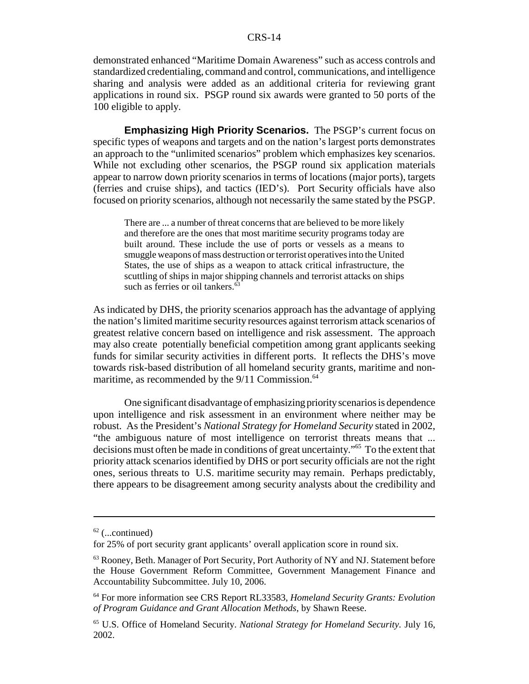#### CRS-14

demonstrated enhanced "Maritime Domain Awareness" such as access controls and standardized credentialing, command and control, communications, and intelligence sharing and analysis were added as an additional criteria for reviewing grant applications in round six. PSGP round six awards were granted to 50 ports of the 100 eligible to apply.

**Emphasizing High Priority Scenarios.** The PSGP's current focus on specific types of weapons and targets and on the nation's largest ports demonstrates an approach to the "unlimited scenarios" problem which emphasizes key scenarios. While not excluding other scenarios, the PSGP round six application materials appear to narrow down priority scenarios in terms of locations (major ports), targets (ferries and cruise ships), and tactics (IED's). Port Security officials have also focused on priority scenarios, although not necessarily the same stated by the PSGP.

There are ... a number of threat concerns that are believed to be more likely and therefore are the ones that most maritime security programs today are built around. These include the use of ports or vessels as a means to smuggle weapons of mass destruction or terrorist operatives into the United States, the use of ships as a weapon to attack critical infrastructure, the scuttling of ships in major shipping channels and terrorist attacks on ships such as ferries or oil tankers. $63$ 

As indicated by DHS, the priority scenarios approach has the advantage of applying the nation's limited maritime security resources against terrorism attack scenarios of greatest relative concern based on intelligence and risk assessment. The approach may also create potentially beneficial competition among grant applicants seeking funds for similar security activities in different ports. It reflects the DHS's move towards risk-based distribution of all homeland security grants, maritime and nonmaritime, as recommended by the  $9/11$  Commission.<sup>64</sup>

One significant disadvantage of emphasizing priority scenarios is dependence upon intelligence and risk assessment in an environment where neither may be robust. As the President's *National Strategy for Homeland Security* stated in 2002, "the ambiguous nature of most intelligence on terrorist threats means that ... decisions must often be made in conditions of great uncertainty.<sup>565</sup> To the extent that priority attack scenarios identified by DHS or port security officials are not the right ones, serious threats to U.S. maritime security may remain. Perhaps predictably, there appears to be disagreement among security analysts about the credibility and

 $62$  (...continued)

for 25% of port security grant applicants' overall application score in round six.

<sup>63</sup> Rooney, Beth. Manager of Port Security, Port Authority of NY and NJ. Statement before the House Government Reform Committee, Government Management Finance and Accountability Subcommittee. July 10, 2006.

<sup>64</sup> For more information see CRS Report RL33583, *Homeland Security Grants: Evolution of Program Guidance and Grant Allocation Methods*, by Shawn Reese.

<sup>65</sup> U.S. Office of Homeland Security. *National Strategy for Homeland Security.* July 16, 2002.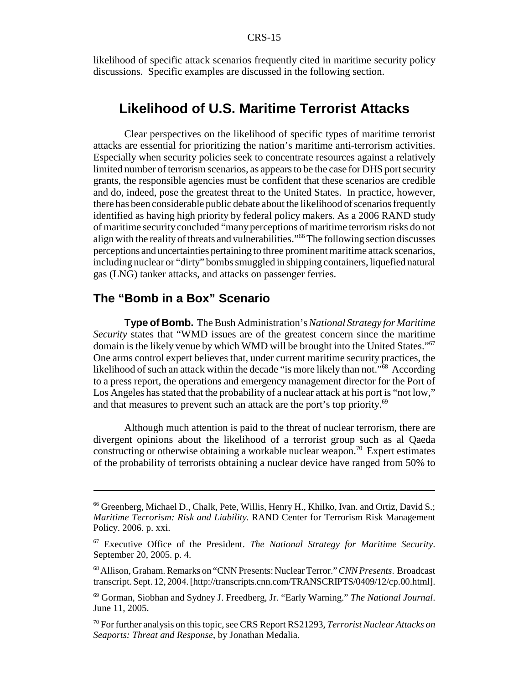likelihood of specific attack scenarios frequently cited in maritime security policy discussions. Specific examples are discussed in the following section.

#### **Likelihood of U.S. Maritime Terrorist Attacks**

Clear perspectives on the likelihood of specific types of maritime terrorist attacks are essential for prioritizing the nation's maritime anti-terrorism activities. Especially when security policies seek to concentrate resources against a relatively limited number of terrorism scenarios, as appears to be the case for DHS port security grants, the responsible agencies must be confident that these scenarios are credible and do, indeed, pose the greatest threat to the United States. In practice, however, there has been considerable public debate about the likelihood of scenarios frequently identified as having high priority by federal policy makers. As a 2006 RAND study of maritime security concluded "many perceptions of maritime terrorism risks do not align with the reality of threats and vulnerabilities."66 The following section discusses perceptions and uncertainties pertaining to three prominent maritime attack scenarios, including nuclear or "dirty" bombs smuggled in shipping containers, liquefied natural gas (LNG) tanker attacks, and attacks on passenger ferries.

#### **The "Bomb in a Box" Scenario**

**Type of Bomb.** The Bush Administration's *National Strategy for Maritime Security* states that "WMD issues are of the greatest concern since the maritime domain is the likely venue by which WMD will be brought into the United States."67 One arms control expert believes that, under current maritime security practices, the likelihood of such an attack within the decade "is more likely than not."<sup>68</sup> According to a press report, the operations and emergency management director for the Port of Los Angeles has stated that the probability of a nuclear attack at his port is "not low," and that measures to prevent such an attack are the port's top priority.<sup>69</sup>

Although much attention is paid to the threat of nuclear terrorism, there are divergent opinions about the likelihood of a terrorist group such as al Qaeda constructing or otherwise obtaining a workable nuclear weapon.<sup>70</sup> Expert estimates of the probability of terrorists obtaining a nuclear device have ranged from 50% to

<sup>&</sup>lt;sup>66</sup> Greenberg, Michael D., Chalk, Pete, Willis, Henry H., Khilko, Ivan. and Ortiz, David S.; *Maritime Terrorism: Risk and Liability.* RAND Center for Terrorism Risk Management Policy. 2006. p. xxi.

<sup>67</sup> Executive Office of the President. *The National Strategy for Maritime Security*. September 20, 2005. p. 4.

<sup>68</sup> Allison, Graham. Remarks on "CNN Presents: Nuclear Terror." *CNN Presents*. Broadcast transcript. Sept. 12, 2004. [http://transcripts.cnn.com/TRANSCRIPTS/0409/12/cp.00.html].

<sup>69</sup> Gorman, Siobhan and Sydney J. Freedberg, Jr. "Early Warning." *The National Journal*. June 11, 2005.

<sup>70</sup> For further analysis on this topic, see CRS Report RS21293, *Terrorist Nuclear Attacks on Seaports: Threat and Response*, by Jonathan Medalia.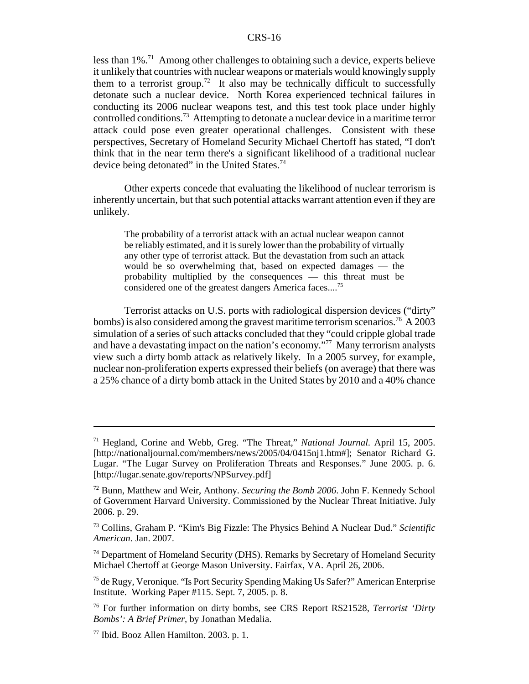less than  $1\%$ <sup>71</sup> Among other challenges to obtaining such a device, experts believe it unlikely that countries with nuclear weapons or materials would knowingly supply them to a terrorist group.<sup>72</sup> It also may be technically difficult to successfully detonate such a nuclear device. North Korea experienced technical failures in conducting its 2006 nuclear weapons test, and this test took place under highly controlled conditions.<sup>73</sup> Attempting to detonate a nuclear device in a maritime terror attack could pose even greater operational challenges. Consistent with these perspectives, Secretary of Homeland Security Michael Chertoff has stated, "I don't think that in the near term there's a significant likelihood of a traditional nuclear device being detonated" in the United States.<sup>74</sup>

Other experts concede that evaluating the likelihood of nuclear terrorism is inherently uncertain, but that such potential attacks warrant attention even if they are unlikely.

The probability of a terrorist attack with an actual nuclear weapon cannot be reliably estimated, and it is surely lower than the probability of virtually any other type of terrorist attack. But the devastation from such an attack would be so overwhelming that, based on expected damages — the probability multiplied by the consequences — this threat must be considered one of the greatest dangers America faces....75

Terrorist attacks on U.S. ports with radiological dispersion devices ("dirty" bombs) is also considered among the gravest maritime terrorism scenarios.<sup>76</sup> A 2003 simulation of a series of such attacks concluded that they "could cripple global trade and have a devastating impact on the nation's economy."77 Many terrorism analysts view such a dirty bomb attack as relatively likely. In a 2005 survey, for example, nuclear non-proliferation experts expressed their beliefs (on average) that there was a 25% chance of a dirty bomb attack in the United States by 2010 and a 40% chance

<sup>71</sup> Hegland, Corine and Webb, Greg. "The Threat," *National Journal.* April 15, 2005. [http://nationaljournal.com/members/news/2005/04/0415nj1.htm#]; Senator Richard G. Lugar. "The Lugar Survey on Proliferation Threats and Responses." June 2005. p. 6. [http://lugar.senate.gov/reports/NPSurvey.pdf]

<sup>72</sup> Bunn, Matthew and Weir, Anthony. *Securing the Bomb 2006*. John F. Kennedy School of Government Harvard University. Commissioned by the Nuclear Threat Initiative. July 2006. p. 29.

<sup>73</sup> Collins, Graham P. "Kim's Big Fizzle: The Physics Behind A Nuclear Dud." *Scientific American*. Jan. 2007.

<sup>&</sup>lt;sup>74</sup> Department of Homeland Security (DHS). Remarks by Secretary of Homeland Security Michael Chertoff at George Mason University. Fairfax, VA. April 26, 2006.

<sup>75</sup> de Rugy, Veronique. "Is Port Security Spending Making Us Safer?" American Enterprise Institute. Working Paper #115. Sept. 7, 2005. p. 8.

<sup>76</sup> For further information on dirty bombs, see CRS Report RS21528, *Terrorist 'Dirty Bombs': A Brief Primer,* by Jonathan Medalia.

<sup>77</sup> Ibid. Booz Allen Hamilton. 2003. p. 1.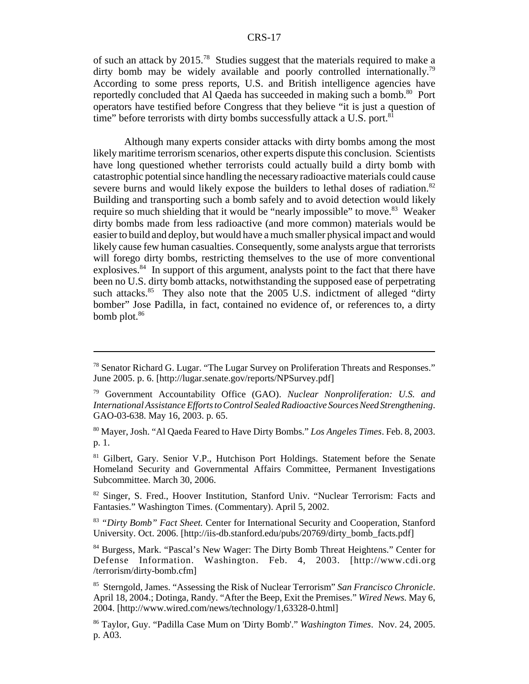of such an attack by 2015.78 Studies suggest that the materials required to make a dirty bomb may be widely available and poorly controlled internationally.<sup>79</sup> According to some press reports, U.S. and British intelligence agencies have reportedly concluded that Al Qaeda has succeeded in making such a bomb.<sup>80</sup> Port operators have testified before Congress that they believe "it is just a question of time" before terrorists with dirty bombs successfully attack a U.S. port.<sup>8</sup>

Although many experts consider attacks with dirty bombs among the most likely maritime terrorism scenarios, other experts dispute this conclusion. Scientists have long questioned whether terrorists could actually build a dirty bomb with catastrophic potential since handling the necessary radioactive materials could cause severe burns and would likely expose the builders to lethal doses of radiation.<sup>82</sup> Building and transporting such a bomb safely and to avoid detection would likely require so much shielding that it would be "nearly impossible" to move.<sup>83</sup> Weaker dirty bombs made from less radioactive (and more common) materials would be easier to build and deploy, but would have a much smaller physical impact and would likely cause few human casualties. Consequently, some analysts argue that terrorists will forego dirty bombs, restricting themselves to the use of more conventional explosives.<sup>84</sup> In support of this argument, analysts point to the fact that there have been no U.S. dirty bomb attacks, notwithstanding the supposed ease of perpetrating such attacks. $85$  They also note that the 2005 U.S. indictment of alleged "dirty" bomber" Jose Padilla, in fact, contained no evidence of, or references to, a dirty bomb plot.<sup>86</sup>

80 Mayer, Josh. "Al Qaeda Feared to Have Dirty Bombs." *Los Angeles Times*. Feb. 8, 2003. p. 1.

<sup>81</sup> Gilbert, Gary. Senior V.P., Hutchison Port Holdings. Statement before the Senate Homeland Security and Governmental Affairs Committee, Permanent Investigations Subcommittee. March 30, 2006.

<sup>82</sup> Singer, S. Fred., Hoover Institution, Stanford Univ. "Nuclear Terrorism: Facts and Fantasies." Washington Times. (Commentary). April 5, 2002.

<sup>83</sup> *"Dirty Bomb" Fact Sheet.* Center for International Security and Cooperation, Stanford University. Oct. 2006. [http://iis-db.stanford.edu/pubs/20769/dirty\_bomb\_facts.pdf]

84 Burgess, Mark. "Pascal's New Wager: The Dirty Bomb Threat Heightens." Center for Defense Information. Washington. Feb. 4, 2003. [http://www.cdi.org /terrorism/dirty-bomb.cfm]

<sup>&</sup>lt;sup>78</sup> Senator Richard G. Lugar. "The Lugar Survey on Proliferation Threats and Responses." June 2005. p. 6. [http://lugar.senate.gov/reports/NPSurvey.pdf]

<sup>79</sup> Government Accountability Office (GAO). *Nuclear Nonproliferation: U.S. and International Assistance Efforts to Control Sealed Radioactive Sources Need Strengthening*. GAO-03-638. May 16, 2003. p. 65.

<sup>85</sup> Sterngold, James. "Assessing the Risk of Nuclear Terrorism" *San Francisco Chronicle*. April 18, 2004.; Dotinga, Randy. "After the Beep, Exit the Premises." *Wired News.* May 6, 2004. [http://www.wired.com/news/technology/1,63328-0.html]

<sup>86</sup> Taylor, Guy. "Padilla Case Mum on 'Dirty Bomb'." *Washington Times*. Nov. 24, 2005. p. A03.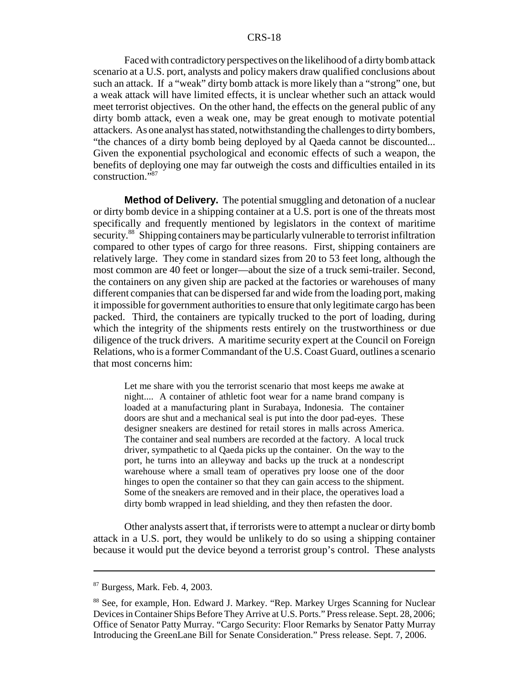Faced with contradictory perspectives on the likelihood of a dirty bomb attack scenario at a U.S. port, analysts and policy makers draw qualified conclusions about such an attack. If a "weak" dirty bomb attack is more likely than a "strong" one, but a weak attack will have limited effects, it is unclear whether such an attack would meet terrorist objectives. On the other hand, the effects on the general public of any dirty bomb attack, even a weak one, may be great enough to motivate potential attackers. As one analyst has stated, notwithstanding the challenges to dirty bombers, "the chances of a dirty bomb being deployed by al Qaeda cannot be discounted... Given the exponential psychological and economic effects of such a weapon, the benefits of deploying one may far outweigh the costs and difficulties entailed in its construction."<sup>87</sup>

**Method of Delivery.** The potential smuggling and detonation of a nuclear or dirty bomb device in a shipping container at a U.S. port is one of the threats most specifically and frequently mentioned by legislators in the context of maritime security.<sup>88</sup> Shipping containers may be particularly vulnerable to terrorist infiltration compared to other types of cargo for three reasons. First, shipping containers are relatively large. They come in standard sizes from 20 to 53 feet long, although the most common are 40 feet or longer—about the size of a truck semi-trailer. Second, the containers on any given ship are packed at the factories or warehouses of many different companies that can be dispersed far and wide from the loading port, making it impossible for government authorities to ensure that only legitimate cargo has been packed. Third, the containers are typically trucked to the port of loading, during which the integrity of the shipments rests entirely on the trustworthiness or due diligence of the truck drivers. A maritime security expert at the Council on Foreign Relations, who is a former Commandant of the U.S. Coast Guard, outlines a scenario that most concerns him:

Let me share with you the terrorist scenario that most keeps me awake at night.... A container of athletic foot wear for a name brand company is loaded at a manufacturing plant in Surabaya, Indonesia. The container doors are shut and a mechanical seal is put into the door pad-eyes. These designer sneakers are destined for retail stores in malls across America. The container and seal numbers are recorded at the factory. A local truck driver, sympathetic to al Qaeda picks up the container. On the way to the port, he turns into an alleyway and backs up the truck at a nondescript warehouse where a small team of operatives pry loose one of the door hinges to open the container so that they can gain access to the shipment. Some of the sneakers are removed and in their place, the operatives load a dirty bomb wrapped in lead shielding, and they then refasten the door.

Other analysts assert that, if terrorists were to attempt a nuclear or dirty bomb attack in a U.S. port, they would be unlikely to do so using a shipping container because it would put the device beyond a terrorist group's control. These analysts

<sup>87</sup> Burgess, Mark. Feb. 4, 2003.

<sup>88</sup> See, for example, Hon. Edward J. Markey. "Rep. Markey Urges Scanning for Nuclear Devices in Container Ships Before They Arrive at U.S. Ports." Press release. Sept. 28, 2006; Office of Senator Patty Murray. "Cargo Security: Floor Remarks by Senator Patty Murray Introducing the GreenLane Bill for Senate Consideration." Press release. Sept. 7, 2006.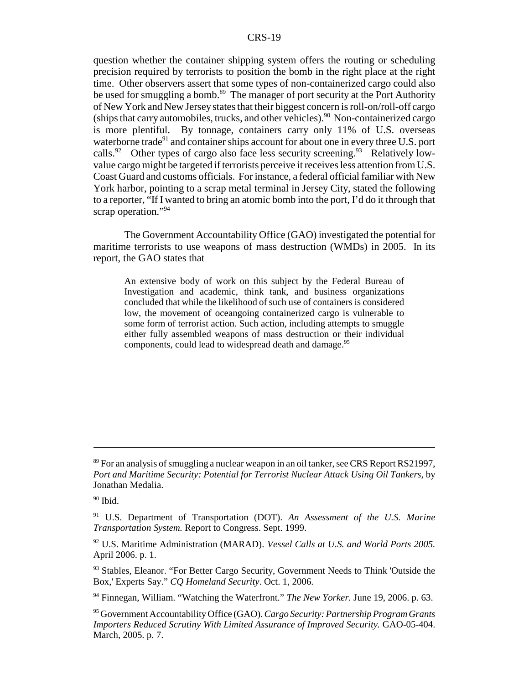question whether the container shipping system offers the routing or scheduling precision required by terrorists to position the bomb in the right place at the right time. Other observers assert that some types of non-containerized cargo could also be used for smuggling a bomb.<sup>89</sup> The manager of port security at the Port Authority of New York and New Jersey states that their biggest concern is roll-on/roll-off cargo (ships that carry automobiles, trucks, and other vehicles).<sup>90</sup> Non-containerized cargo is more plentiful. By tonnage, containers carry only 11% of U.S. overseas waterborne trade<sup>91</sup> and container ships account for about one in every three U.S. port calls.<sup>92</sup> Other types of cargo also face less security screening.<sup>93</sup> Relatively lowvalue cargo might be targeted if terrorists perceive it receives less attention from U.S. Coast Guard and customs officials. For instance, a federal official familiar with New York harbor, pointing to a scrap metal terminal in Jersey City, stated the following to a reporter, "If I wanted to bring an atomic bomb into the port, I'd do it through that scrap operation."<sup>94</sup>

The Government Accountability Office (GAO) investigated the potential for maritime terrorists to use weapons of mass destruction (WMDs) in 2005. In its report, the GAO states that

An extensive body of work on this subject by the Federal Bureau of Investigation and academic, think tank, and business organizations concluded that while the likelihood of such use of containers is considered low, the movement of oceangoing containerized cargo is vulnerable to some form of terrorist action. Such action, including attempts to smuggle either fully assembled weapons of mass destruction or their individual components, could lead to widespread death and damage.<sup>95</sup>

<sup>&</sup>lt;sup>89</sup> For an analysis of smuggling a nuclear weapon in an oil tanker, see CRS Report RS21997, *Port and Maritime Security: Potential for Terrorist Nuclear Attack Using Oil Tankers,* by Jonathan Medalia.

 $90$  Ibid.

<sup>91</sup> U.S. Department of Transportation (DOT). *An Assessment of the U.S. Marine Transportation System.* Report to Congress. Sept. 1999.

<sup>92</sup> U.S. Maritime Administration (MARAD). *Vessel Calls at U.S. and World Ports 2005.* April 2006. p. 1.

<sup>&</sup>lt;sup>93</sup> Stables, Eleanor. "For Better Cargo Security, Government Needs to Think 'Outside the Box,' Experts Say." *CQ Homeland Security*. Oct. 1, 2006.

<sup>94</sup> Finnegan, William. "Watching the Waterfront." *The New Yorker.* June 19, 2006. p. 63.

<sup>95</sup> Government Accountability Office (GAO). *Cargo Security: Partnership Program Grants Importers Reduced Scrutiny With Limited Assurance of Improved Security.* GAO-05-404. March, 2005. p. 7.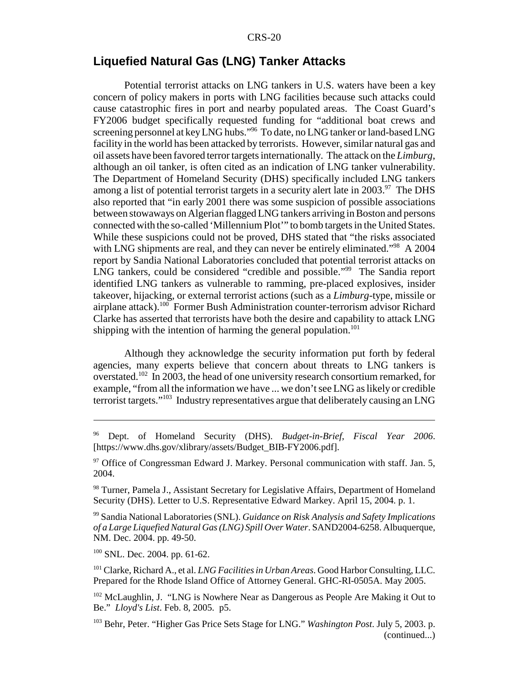#### **Liquefied Natural Gas (LNG) Tanker Attacks**

Potential terrorist attacks on LNG tankers in U.S. waters have been a key concern of policy makers in ports with LNG facilities because such attacks could cause catastrophic fires in port and nearby populated areas. The Coast Guard's FY2006 budget specifically requested funding for "additional boat crews and screening personnel at key LNG hubs."<sup>96</sup> To date, no LNG tanker or land-based LNG facility in the world has been attacked by terrorists. However, similar natural gas and oil assets have been favored terror targets internationally. The attack on the *Limburg*, although an oil tanker, is often cited as an indication of LNG tanker vulnerability. The Department of Homeland Security (DHS) specifically included LNG tankers among a list of potential terrorist targets in a security alert late in  $2003$ <sup>97</sup>. The DHS also reported that "in early 2001 there was some suspicion of possible associations between stowaways on Algerian flagged LNG tankers arriving in Boston and persons connected with the so-called 'Millennium Plot'" to bomb targets in the United States. While these suspicions could not be proved, DHS stated that "the risks associated with LNG shipments are real, and they can never be entirely eliminated."<sup>98</sup> A 2004 report by Sandia National Laboratories concluded that potential terrorist attacks on LNG tankers, could be considered "credible and possible."<sup>99</sup> The Sandia report identified LNG tankers as vulnerable to ramming, pre-placed explosives, insider takeover, hijacking, or external terrorist actions (such as a *Limburg*-type, missile or airplane attack).<sup>100</sup> Former Bush Administration counter-terrorism advisor Richard Clarke has asserted that terrorists have both the desire and capability to attack LNG shipping with the intention of harming the general population.<sup>101</sup>

Although they acknowledge the security information put forth by federal agencies, many experts believe that concern about threats to LNG tankers is overstated.102 In 2003, the head of one university research consortium remarked, for example, "from all the information we have ... we don't see LNG as likely or credible terrorist targets."103 Industry representatives argue that deliberately causing an LNG

99 Sandia National Laboratories (SNL). *Guidance on Risk Analysis and Safety Implications of a Large Liquefied Natural Gas (LNG) Spill Over Water*. SAND2004-6258. Albuquerque, NM. Dec. 2004. pp. 49-50.

100 SNL. Dec. 2004. pp. 61-62.

101 Clarke, Richard A., et al. *LNG Facilities in Urban Areas*. Good Harbor Consulting, LLC. Prepared for the Rhode Island Office of Attorney General. GHC-RI-0505A. May 2005.

<sup>102</sup> McLaughlin, J. "LNG is Nowhere Near as Dangerous as People Are Making it Out to Be." *Lloyd's List*. Feb. 8, 2005. p5.

<sup>96</sup> Dept. of Homeland Security (DHS). *Budget-in-Brief, Fiscal Year 2006*. [https://www.dhs.gov/xlibrary/assets/Budget\_BIB-FY2006.pdf].

 $97$  Office of Congressman Edward J. Markey. Personal communication with staff. Jan. 5, 2004.

<sup>&</sup>lt;sup>98</sup> Turner, Pamela J., Assistant Secretary for Legislative Affairs, Department of Homeland Security (DHS). Letter to U.S. Representative Edward Markey. April 15, 2004. p. 1.

<sup>103</sup> Behr, Peter. "Higher Gas Price Sets Stage for LNG." *Washington Post*. July 5, 2003. p. (continued...)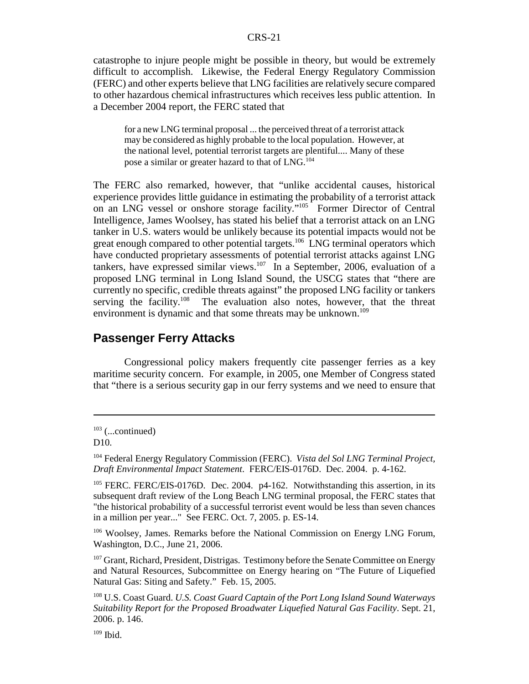catastrophe to injure people might be possible in theory, but would be extremely difficult to accomplish. Likewise, the Federal Energy Regulatory Commission (FERC) and other experts believe that LNG facilities are relatively secure compared to other hazardous chemical infrastructures which receives less public attention. In a December 2004 report, the FERC stated that

for a new LNG terminal proposal ... the perceived threat of a terrorist attack may be considered as highly probable to the local population. However, at the national level, potential terrorist targets are plentiful.... Many of these pose a similar or greater hazard to that of LNG.104

The FERC also remarked, however, that "unlike accidental causes, historical experience provides little guidance in estimating the probability of a terrorist attack on an LNG vessel or onshore storage facility."<sup>105</sup> Former Director of Central Intelligence, James Woolsey, has stated his belief that a terrorist attack on an LNG tanker in U.S. waters would be unlikely because its potential impacts would not be great enough compared to other potential targets.<sup>106</sup> LNG terminal operators which have conducted proprietary assessments of potential terrorist attacks against LNG tankers, have expressed similar views.<sup>107</sup> In a September, 2006, evaluation of a proposed LNG terminal in Long Island Sound, the USCG states that "there are currently no specific, credible threats against" the proposed LNG facility or tankers serving the facility.<sup>108</sup> The evaluation also notes, however, that the threat environment is dynamic and that some threats may be unknown.<sup>109</sup>

#### **Passenger Ferry Attacks**

Congressional policy makers frequently cite passenger ferries as a key maritime security concern. For example, in 2005, one Member of Congress stated that "there is a serious security gap in our ferry systems and we need to ensure that

 $103$  (...continued)

D<sub>10</sub>.

<sup>104</sup> Federal Energy Regulatory Commission (FERC). *Vista del Sol LNG Terminal Project, Draft Environmental Impact Statement*. FERC/EIS-0176D. Dec. 2004. p. 4-162.

<sup>&</sup>lt;sup>105</sup> FERC. FERC/EIS-0176D. Dec. 2004. p4-162. Notwithstanding this assertion, in its subsequent draft review of the Long Beach LNG terminal proposal, the FERC states that "the historical probability of a successful terrorist event would be less than seven chances in a million per year..." See FERC. Oct. 7, 2005. p. ES-14.

<sup>106</sup> Woolsey, James. Remarks before the National Commission on Energy LNG Forum, Washington, D.C., June 21, 2006.

<sup>&</sup>lt;sup>107</sup> Grant, Richard, President, Distrigas. Testimony before the Senate Committee on Energy and Natural Resources, Subcommittee on Energy hearing on "The Future of Liquefied Natural Gas: Siting and Safety." Feb. 15, 2005.

<sup>108</sup> U.S. Coast Guard. *U.S. Coast Guard Captain of the Port Long Island Sound Waterways Suitability Report for the Proposed Broadwater Liquefied Natural Gas Facility*. Sept. 21, 2006. p. 146.

 $109$  Ibid.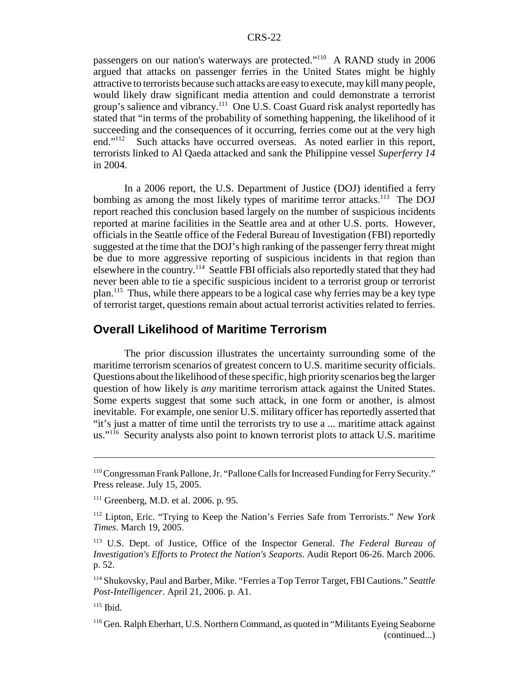passengers on our nation's waterways are protected."110 A RAND study in 2006 argued that attacks on passenger ferries in the United States might be highly attractive to terrorists because such attacks are easy to execute, may kill many people, would likely draw significant media attention and could demonstrate a terrorist group's salience and vibrancy.<sup>111</sup> One U.S. Coast Guard risk analyst reportedly has stated that "in terms of the probability of something happening, the likelihood of it succeeding and the consequences of it occurring, ferries come out at the very high end."<sup>112</sup> Such attacks have occurred overseas. As noted earlier in this report, terrorists linked to Al Qaeda attacked and sank the Philippine vessel *Superferry 14* in 2004.

In a 2006 report, the U.S. Department of Justice (DOJ) identified a ferry bombing as among the most likely types of maritime terror attacks.<sup>113</sup> The DOJ report reached this conclusion based largely on the number of suspicious incidents reported at marine facilities in the Seattle area and at other U.S. ports. However, officials in the Seattle office of the Federal Bureau of Investigation (FBI) reportedly suggested at the time that the DOJ's high ranking of the passenger ferry threat might be due to more aggressive reporting of suspicious incidents in that region than elsewhere in the country.<sup>114</sup> Seattle FBI officials also reportedly stated that they had never been able to tie a specific suspicious incident to a terrorist group or terrorist plan.115 Thus, while there appears to be a logical case why ferries may be a key type of terrorist target, questions remain about actual terrorist activities related to ferries.

#### **Overall Likelihood of Maritime Terrorism**

The prior discussion illustrates the uncertainty surrounding some of the maritime terrorism scenarios of greatest concern to U.S. maritime security officials. Questions about the likelihood of these specific, high priority scenarios beg the larger question of how likely is *any* maritime terrorism attack against the United States. Some experts suggest that some such attack, in one form or another, is almost inevitable. For example, one senior U.S. military officer has reportedly asserted that "it's just a matter of time until the terrorists try to use a ... maritime attack against us."116 Security analysts also point to known terrorist plots to attack U.S. maritime

<sup>110</sup> Congressman Frank Pallone, Jr. "Pallone Calls for Increased Funding for Ferry Security." Press release. July 15, 2005.

<sup>111</sup> Greenberg, M.D. et al. 2006. p. 95.

<sup>112</sup> Lipton, Eric. "Trying to Keep the Nation's Ferries Safe from Terrorists." *New York Times*. March 19, 2005.

<sup>113</sup> U.S. Dept. of Justice, Office of the Inspector General. *The Federal Bureau of Investigation's Efforts to Protect the Nation's Seaports*. Audit Report 06-26. March 2006. p. 52.

<sup>114</sup> Shukovsky, Paul and Barber, Mike. "Ferries a Top Terror Target, FBI Cautions." *Seattle Post-Intelligencer*. April 21, 2006. p. A1.

<sup>&</sup>lt;sup>115</sup> Ibid.

<sup>116</sup> Gen. Ralph Eberhart, U.S. Northern Command, as quoted in "Militants Eyeing Seaborne (continued...)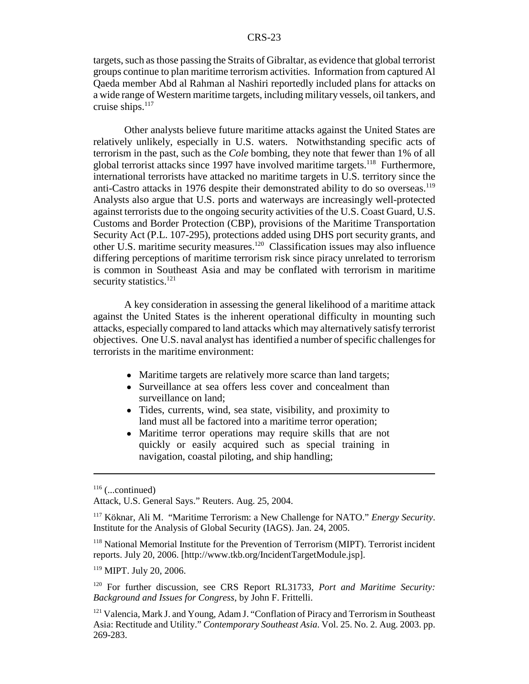targets, such as those passing the Straits of Gibraltar, as evidence that global terrorist groups continue to plan maritime terrorism activities. Information from captured Al Qaeda member Abd al Rahman al Nashiri reportedly included plans for attacks on a wide range of Western maritime targets, including military vessels, oil tankers, and cruise ships. $117$ 

Other analysts believe future maritime attacks against the United States are relatively unlikely, especially in U.S. waters. Notwithstanding specific acts of terrorism in the past, such as the *Cole* bombing, they note that fewer than 1% of all global terrorist attacks since 1997 have involved maritime targets.<sup>118</sup> Furthermore, international terrorists have attacked no maritime targets in U.S. territory since the anti-Castro attacks in 1976 despite their demonstrated ability to do so overseas.<sup>119</sup> Analysts also argue that U.S. ports and waterways are increasingly well-protected against terrorists due to the ongoing security activities of the U.S. Coast Guard, U.S. Customs and Border Protection (CBP), provisions of the Maritime Transportation Security Act (P.L. 107-295), protections added using DHS port security grants, and other U.S. maritime security measures.120 Classification issues may also influence differing perceptions of maritime terrorism risk since piracy unrelated to terrorism is common in Southeast Asia and may be conflated with terrorism in maritime security statistics.<sup>121</sup>

A key consideration in assessing the general likelihood of a maritime attack against the United States is the inherent operational difficulty in mounting such attacks, especially compared to land attacks which may alternatively satisfy terrorist objectives. One U.S. naval analyst has identified a number of specific challenges for terrorists in the maritime environment:

- Maritime targets are relatively more scarce than land targets;
- Surveillance at sea offers less cover and concealment than surveillance on land;
- Tides, currents, wind, sea state, visibility, and proximity to land must all be factored into a maritime terror operation;
- Maritime terror operations may require skills that are not quickly or easily acquired such as special training in navigation, coastal piloting, and ship handling;

 $116$  (...continued)

Attack, U.S. General Says." Reuters. Aug. 25, 2004.

<sup>117</sup> Köknar, Ali M. "Maritime Terrorism: a New Challenge for NATO." *Energy Security*. Institute for the Analysis of Global Security (IAGS). Jan. 24, 2005.

<sup>118</sup> National Memorial Institute for the Prevention of Terrorism (MIPT). Terrorist incident reports. July 20, 2006. [http://www.tkb.org/IncidentTargetModule.jsp].

<sup>119</sup> MIPT. July 20, 2006.

<sup>120</sup> For further discussion, see CRS Report RL31733, *Port and Maritime Security: Background and Issues for Congress*, by John F. Frittelli.

<sup>&</sup>lt;sup>121</sup> Valencia, Mark J. and Young, Adam J. "Conflation of Piracy and Terrorism in Southeast Asia: Rectitude and Utility." *Contemporary Southeast Asia*. Vol. 25. No. 2. Aug. 2003. pp. 269-283.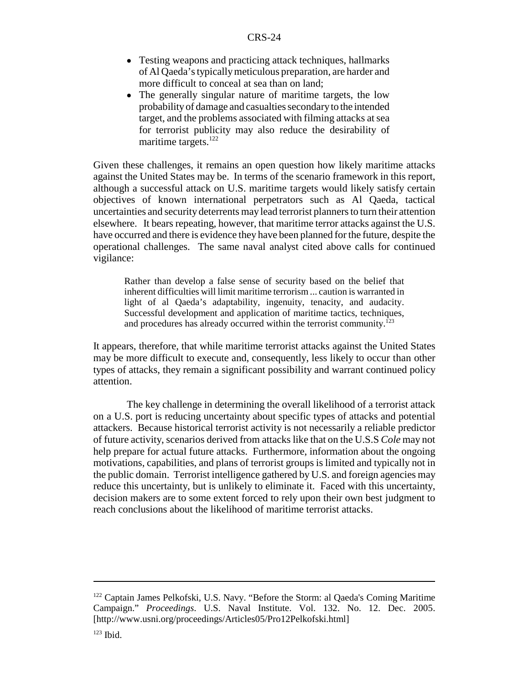- Testing weapons and practicing attack techniques, hallmarks of Al Qaeda's typically meticulous preparation, are harder and more difficult to conceal at sea than on land;
- The generally singular nature of maritime targets, the low probability of damage and casualties secondary to the intended target, and the problems associated with filming attacks at sea for terrorist publicity may also reduce the desirability of maritime targets.<sup>122</sup>

Given these challenges, it remains an open question how likely maritime attacks against the United States may be. In terms of the scenario framework in this report, although a successful attack on U.S. maritime targets would likely satisfy certain objectives of known international perpetrators such as Al Qaeda, tactical uncertainties and security deterrents may lead terrorist planners to turn their attention elsewhere. It bears repeating, however, that maritime terror attacks against the U.S. have occurred and there is evidence they have been planned for the future, despite the operational challenges. The same naval analyst cited above calls for continued vigilance:

Rather than develop a false sense of security based on the belief that inherent difficulties will limit maritime terrorism ... caution is warranted in light of al Qaeda's adaptability, ingenuity, tenacity, and audacity. Successful development and application of maritime tactics, techniques, and procedures has already occurred within the terrorist community.<sup> $123$ </sup>

It appears, therefore, that while maritime terrorist attacks against the United States may be more difficult to execute and, consequently, less likely to occur than other types of attacks, they remain a significant possibility and warrant continued policy attention.

 The key challenge in determining the overall likelihood of a terrorist attack on a U.S. port is reducing uncertainty about specific types of attacks and potential attackers. Because historical terrorist activity is not necessarily a reliable predictor of future activity, scenarios derived from attacks like that on the U.S.S *Cole* may not help prepare for actual future attacks. Furthermore, information about the ongoing motivations, capabilities, and plans of terrorist groups is limited and typically not in the public domain. Terrorist intelligence gathered by U.S. and foreign agencies may reduce this uncertainty, but is unlikely to eliminate it. Faced with this uncertainty, decision makers are to some extent forced to rely upon their own best judgment to reach conclusions about the likelihood of maritime terrorist attacks.

<sup>&</sup>lt;sup>122</sup> Captain James Pelkofski, U.S. Navy. "Before the Storm: al Qaeda's Coming Maritime Campaign." *Proceedings*. U.S. Naval Institute. Vol. 132. No. 12. Dec. 2005. [http://www.usni.org/proceedings/Articles05/Pro12Pelkofski.html]

 $123$  Ibid.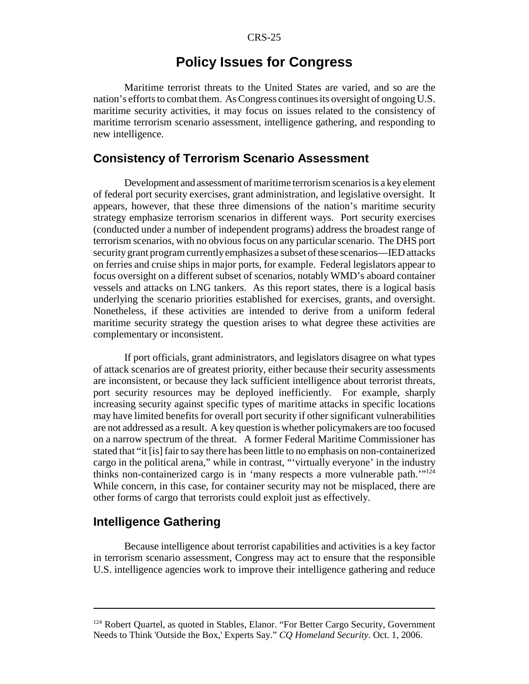# **Policy Issues for Congress**

Maritime terrorist threats to the United States are varied, and so are the nation's efforts to combat them. As Congress continues its oversight of ongoing U.S. maritime security activities, it may focus on issues related to the consistency of maritime terrorism scenario assessment, intelligence gathering, and responding to new intelligence.

#### **Consistency of Terrorism Scenario Assessment**

Development and assessment of maritime terrorism scenarios is a key element of federal port security exercises, grant administration, and legislative oversight. It appears, however, that these three dimensions of the nation's maritime security strategy emphasize terrorism scenarios in different ways. Port security exercises (conducted under a number of independent programs) address the broadest range of terrorism scenarios, with no obvious focus on any particular scenario. The DHS port security grant program currently emphasizes a subset of these scenarios—IED attacks on ferries and cruise ships in major ports, for example. Federal legislators appear to focus oversight on a different subset of scenarios, notably WMD's aboard container vessels and attacks on LNG tankers. As this report states, there is a logical basis underlying the scenario priorities established for exercises, grants, and oversight. Nonetheless, if these activities are intended to derive from a uniform federal maritime security strategy the question arises to what degree these activities are complementary or inconsistent.

If port officials, grant administrators, and legislators disagree on what types of attack scenarios are of greatest priority, either because their security assessments are inconsistent, or because they lack sufficient intelligence about terrorist threats, port security resources may be deployed inefficiently. For example, sharply increasing security against specific types of maritime attacks in specific locations may have limited benefits for overall port security if other significant vulnerabilities are not addressed as a result. A key question is whether policymakers are too focused on a narrow spectrum of the threat. A former Federal Maritime Commissioner has stated that "it [is] fair to say there has been little to no emphasis on non-containerized cargo in the political arena," while in contrast, "'virtually everyone' in the industry thinks non-containerized cargo is in 'many respects a more vulnerable path.'"124 While concern, in this case, for container security may not be misplaced, there are other forms of cargo that terrorists could exploit just as effectively.

#### **Intelligence Gathering**

Because intelligence about terrorist capabilities and activities is a key factor in terrorism scenario assessment, Congress may act to ensure that the responsible U.S. intelligence agencies work to improve their intelligence gathering and reduce

<sup>&</sup>lt;sup>124</sup> Robert Quartel, as quoted in Stables, Elanor. "For Better Cargo Security, Government Needs to Think 'Outside the Box,' Experts Say." *CQ Homeland Security*. Oct. 1, 2006.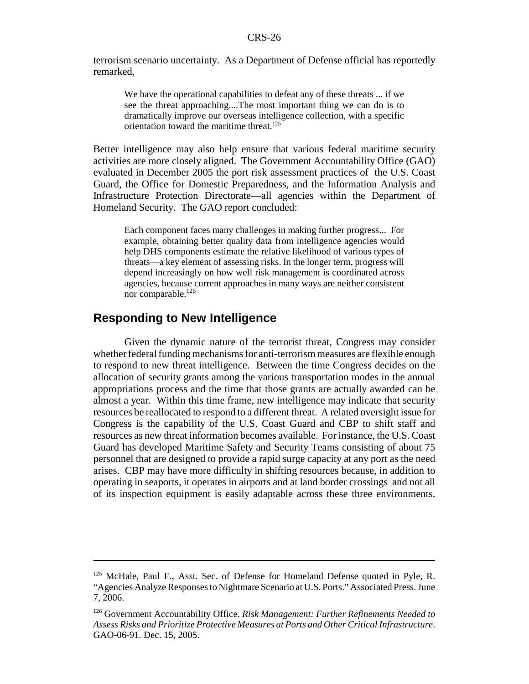terrorism scenario uncertainty. As a Department of Defense official has reportedly remarked,

We have the operational capabilities to defeat any of these threats ... if we see the threat approaching....The most important thing we can do is to dramatically improve our overseas intelligence collection, with a specific orientation toward the maritime threat.<sup>125</sup>

Better intelligence may also help ensure that various federal maritime security activities are more closely aligned. The Government Accountability Office (GAO) evaluated in December 2005 the port risk assessment practices of the U.S. Coast Guard, the Office for Domestic Preparedness, and the Information Analysis and Infrastructure Protection Directorate—all agencies within the Department of Homeland Security. The GAO report concluded:

Each component faces many challenges in making further progress... For example, obtaining better quality data from intelligence agencies would help DHS components estimate the relative likelihood of various types of threats—a key element of assessing risks. In the longer term, progress will depend increasingly on how well risk management is coordinated across agencies, because current approaches in many ways are neither consistent nor comparable.<sup>126</sup>

#### **Responding to New Intelligence**

Given the dynamic nature of the terrorist threat, Congress may consider whether federal funding mechanisms for anti-terrorism measures are flexible enough to respond to new threat intelligence. Between the time Congress decides on the allocation of security grants among the various transportation modes in the annual appropriations process and the time that those grants are actually awarded can be almost a year. Within this time frame, new intelligence may indicate that security resources be reallocated to respond to a different threat. A related oversight issue for Congress is the capability of the U.S. Coast Guard and CBP to shift staff and resources as new threat information becomes available. For instance, the U.S. Coast Guard has developed Maritime Safety and Security Teams consisting of about 75 personnel that are designed to provide a rapid surge capacity at any port as the need arises. CBP may have more difficulty in shifting resources because, in addition to operating in seaports, it operates in airports and at land border crossings and not all of its inspection equipment is easily adaptable across these three environments.

<sup>&</sup>lt;sup>125</sup> McHale, Paul F., Asst. Sec. of Defense for Homeland Defense quoted in Pyle, R. "Agencies Analyze Responses to Nightmare Scenario at U.S. Ports." Associated Press. June 7, 2006.

<sup>126</sup> Government Accountability Office. *Risk Management: Further Refinements Needed to Assess Risks and Prioritize Protective Measures at Ports and Other Critical Infrastructure*. GAO-06-91. Dec. 15, 2005.